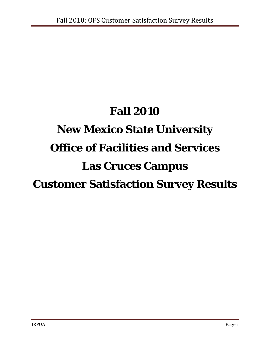# **Fall 2010 New Mexico State University Office of Facilities and Services Las Cruces Campus Customer Satisfaction Survey Results**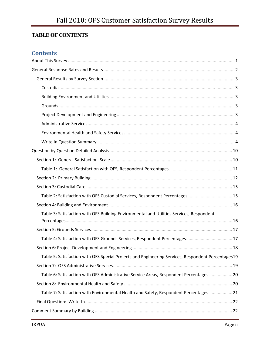# **TABLE OF CONTENTS**

# **Contents**

| Table 2: Satisfaction with OFS Custodial Services, Respondent Percentages  15                      |
|----------------------------------------------------------------------------------------------------|
|                                                                                                    |
| Table 3: Satisfaction with OFS Building Environmental and Utilities Services, Respondent           |
|                                                                                                    |
| Table 4: Satisfaction with OFS Grounds Services, Respondent Percentages 17                         |
|                                                                                                    |
| Table 5: Satisfaction with OFS Special Projects and Engineering Services, Respondent Percentages19 |
|                                                                                                    |
| Table 6: Satisfaction with OFS Administrative Service Areas, Respondent Percentages  20            |
|                                                                                                    |
| Table 7: Satisfaction with Environmental Health and Safety, Respondent Percentages  21             |
|                                                                                                    |
|                                                                                                    |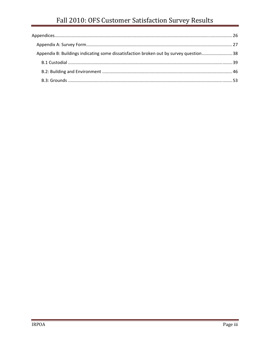| Appendix B: Buildings indicating some dissatisfaction broken out by survey question38 |  |
|---------------------------------------------------------------------------------------|--|
|                                                                                       |  |
|                                                                                       |  |
|                                                                                       |  |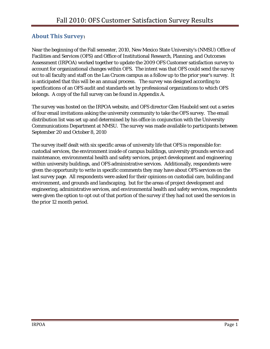# **About This Survey:**

Near the beginning of the Fall semester, 2010, New Mexico State University's (NMSU) Office of Facilities and Services (OFS) and Office of Institutional Research, Planning, and Outcomes Assessment (IRPOA) worked together to update the 2009 OFS Customer satisfaction survey to account for organizational changes within OFS. The intent was that OFS could send the survey out to all faculty and staff on the Las Cruces campus as a follow up to the prior year's survey. It is anticipated that this will be an annual process. The survey was designed according to specifications of an OFS audit and standards set by professional organizations to which OFS belongs. A copy of the full survey can be found in Appendix A.

The survey was hosted on the IRPOA website, and OFS director Glen Haubold sent out a series of four email invitations asking the university community to take the OFS survey. The email distribution list was set up and determined by his office in conjunction with the University Communications Department at NMSU. The survey was made available to participants between September 20 and October 8, 2010

The survey itself dealt with six specific areas of university life that OFS is responsible for: custodial services, the environment inside of campus buildings, university grounds service and maintenance, environmental health and safety services, project development and engineering within university buildings, and OFS administrative services. Additionally, respondents were given the opportunity to write in specific comments they may have about OFS services on the last survey page. All respondents were asked for their opinions on custodial care, building and environment, and grounds and landscaping, but for the areas of project development and engineering, administrative services, and environmental health and safety services, respondents were given the option to opt out of that portion of the survey if they had not used the services in the prior 12 month period.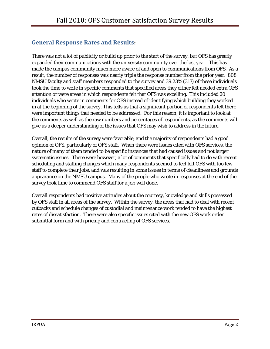# **General Response Rates and Results:**

There was not a lot of publicity or build up prior to the start of the survey, but OFS has greatly expanded their communications with the university community over the last year. This has made the campus community much more aware of and open to communications from OFS. As a result, the number of responses was nearly triple the response number from the prior year. 808 NMSU faculty and staff members responded to the survey and 39.23% (317) of these individuals took the time to write in specific comments that specified areas they either felt needed extra OFS attention or were areas in which respondents felt that OFS was excelling. This included 20 individuals who wrote in comments for OFS instead of identifying which building they worked in at the beginning of the survey. This tells us that a significant portion of respondents felt there were important things that needed to be addressed. For this reason, it is important to look at the comments as well as the raw numbers and percentages of respondents, as the comments will give us a deeper understanding of the issues that OFS may wish to address in the future.

Overall, the results of the survey were favorable, and the majority of respondents had a good opinion of OFS, particularly of OFS staff. When there were issues cited with OFS services, the nature of many of them tended to be specific instances that had caused issues and not larger systematic issues. There were however, a lot of comments that specifically had to do with recent scheduling and staffing changes which many respondents seemed to feel left OFS with too few staff to complete their jobs, and was resulting in some issues in terms of cleanliness and grounds appearance on the NMSU campus. Many of the people who wrote in responses at the end of the survey took time to commend OFS staff for a job well done.

Overall respondents had positive attitudes about the courtesy, knowledge and skills possessed by OFS staff in all areas of the survey. Within the survey, the areas that had to deal with recent cutbacks and schedule changes of custodial and maintenance work tended to have the highest rates of dissatisfaction. There were also specific issues cited with the new OFS work order submittal form and with pricing and contracting of OFS services.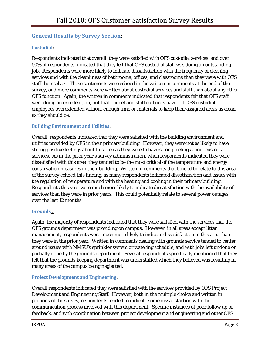# **General Results by Survey Section:**

#### **Custodial**:

Respondents indicated that overall, they were satisfied with OFS custodial services, and over 50% of respondents indicated that they felt that OFS custodial staff was doing an outstanding job. Respondents were more likely to indicate dissatisfaction with the frequency of cleaning services and with the cleanliness of bathrooms, offices, and classrooms than they were with OFS staff themselves. These sentiments were echoed in the written in comments at the end of the survey, and more comments were written about custodial services and staff than about any other OFS function. Again, the written in comments indicated that respondents felt that OFS staff were doing an excellent job, but that budget and staff cutbacks have left OFS custodial employees overextended without enough time or materials to keep their assigned areas as clean as they should be.

#### **Building Environment and Utilities**:

Overall, respondents indicated that they were satisfied with the building environment and utilities provided by OFS in their primary building. However, they were not as likely to have strong positive feelings about this area as they were to have strong feelings about custodial services. As in the prior year's survey administration, when respondents indicated they were dissatisfied with this area, they tended to be the most critical of the temperature and energy conservation measures in their building. Written in comments that tended to relate to this area of the survey echoed this finding, as many respondents indicated dissatisfaction and issues with the regulation of temperature and with the heating and cooling in their primary building. Respondents this year were much more likely to indicate dissatisfaction with the availability of services than they were in prior years. This could potentially relate to several power outages over the last 12 months.

#### **Grounds** :

Again, the majority of respondents indicated that they were satisfied with the services that the OFS grounds department was providing on campus. However, in all areas except litter management, respondents were much more likely to indicate dissatisfaction in this area than they were in the prior year. Written in comments dealing with grounds service tended to center around issues with NMSU's sprinkler system or watering schedule, and with jobs left undone or partially done by the grounds department. Several respondents specifically mentioned that they felt that the grounds keeping department was understaffed which they believed was resulting in many areas of the campus being neglected.

#### **Project Development and Engineering**:

Overall respondents indicated they were satisfied with the services provided by OFS Project Development and Engineering Staff. However, both in the multiple choice and written in portions of the survey, respondents tended to indicate some dissatisfaction with the communication process involved with this department. Specific instances of poor follow up or feedback, and with coordination between project development and engineering and other OFS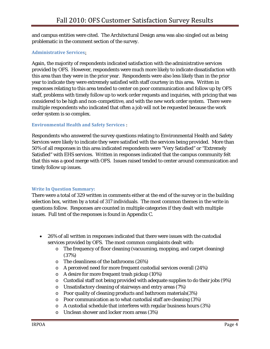and campus entities were cited. The Architectural Design area was also singled out as being problematic in the comment section of the survey.

#### **Administrative Services**:

Again, the majority of respondents indicated satisfaction with the administrative services provided by OFS. However, respondents were much more likely to indicate dissatisfaction with this area than they were in the prior year. Respondents were also less likely than in the prior year to indicate they were extremely satisfied with staff courtesy in this area. Written in responses relating to this area tended to center on poor communication and follow up by OFS staff, problems with timely follow up to work order requests and inquiries, with pricing that was considered to be high and non-competitive, and with the new work order system. There were multiple respondents who indicated that often a job will not be requested because the work order system is so complex.

#### **Environmental Health and Safety Services** :

Respondents who answered the survey questions relating to Environmental Health and Safety Services were likely to indicate they were satisfied with the services being provided. More than 50% of all responses in this area indicated respondents were "Very Satisfied" or "Extremely Satisfied" with EHS services. Written in responses indicated that the campus community felt that this was a good merge with OFS. Issues raised tended to center around communication and timely follow up issues.

#### **Write In Question Summary:**

There were a total of 329 written in comments either at the end of the survey or in the building selection box, written by a total of 317 individuals. The most common themes in the write in questions follow. Responses are counted in multiple categories if they dealt with multiple issues. Full text of the responses is found in Appendix C.

- 26% of all written in responses indicated that there were issues with the custodial services provided by OFS. The most common complaints dealt with:
	- o The frequency of floor cleaning (vacuuming, mopping, and carpet cleaning) (37%)
	- o The cleanliness of the bathrooms (26%)
	- o A perceived need for more frequent custodial services overall (24%)
	- o A desire for more frequent trash pickup (10%)
	- o Custodial staff not being provided with adequate supplies to do their jobs (9%)
	- o Unsatisfactory cleaning of stairways and entry areas (7%)
	- o Poor quality of cleaning products and bathroom materials(3%)
	- o Poor communication as to what custodial staff are cleaning (3%)
	- o A custodial schedule that interferes with regular business hours (3%)
	- o Unclean shower and locker room areas (3%)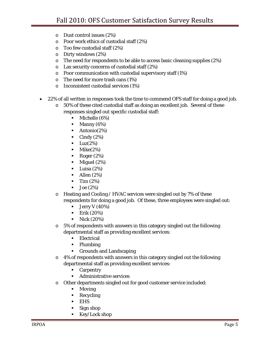- o Dust control issues (2%)
- o Poor work ethics of custodial staff (2%)
- o Too few custodial staff (2%)
- o Dirty windows (2%)
- o The need for respondents to be able to access basic cleaning supplies (2%)
- o Lax security concerns of custodial staff (2%)
- o Poor communication with custodial supervisory staff (1%)
- o The need for more trash cans (1%)
- o Inconsistent custodial services (1%)
- 22% of all written in responses took the time to commend OFS staff for doing a good job.
	- $\circ$  50% of these cited custodial staff as doing an excellent job. Several of these responses singled out specific custodial staff:
		- **Michelle (6%)**
		- $\blacksquare$  Manny (6%)
		- $\blacksquare$  Antonio(2%)
		- $\blacksquare$  Cindy (2%)
		- $\blacksquare$  Luz(2%)
		- $\blacksquare$  Mike(2%)
		- Roger  $(2\%)$
		- $\blacksquare$  Miguel (2%)
		- $\blacksquare$  Luisa (2%)
		- $\blacksquare$  Allen (2%)
		- $\blacksquare$  Tim  $(2\%)$
		- $\blacksquare$  Joe (2%)
	- o Heating and Cooling / HVAC services were singled out by 7% of these respondents for doing a good job. Of these, three employees were singled out:
		- $\blacksquare$  Jerry V (40%)
		- **Erik**  $(20%)$
		- $\blacksquare$  Nick (20%)
	- o 5% of respondents with answers in this category singled out the following departmental staff as providing excellent services:
		- **Electrical**
		- Plumbing
		- Grounds and Landscaping
	- o 4% of respondents with answers in this category singled out the following departmental staff as providing excellent services:
		- **-** Carpentry
		- **Administrative services**
	- o Other departments singled out for good customer service included:
		- **Moving**
		- Recycling
		- EHS
		- Sign shop
		- Key/Lock shop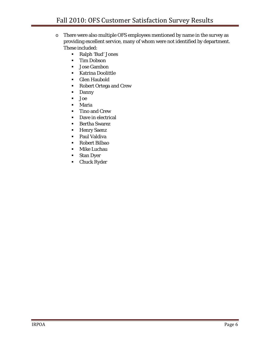- o There were also multiple OFS employees mentioned by name in the survey as providing excellent service, many of whom were not identified by department. These included:
	- Ralph 'Bud' Jones
	- **Tim Dobson**
	- Jose Gambon
	- **Katrina Doolittle**
	- Glen Haubold
	- Robert Ortega and Crew
	- **Danny**
	- Joe
	- Maria
	- **Tino and Crew**
	- **Dave in electrical**
	- **Bertha Swarez**
	- **Henry Saenz**
	- **Paul Valdiva**
	- Robert Bilbao
	- **Mike Luchau**
	- **Stan Dyer**
	- **-** Chuck Ryder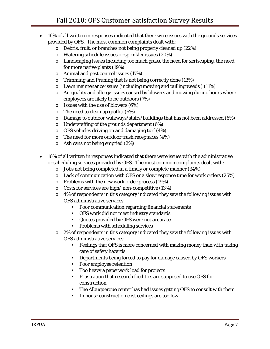- 16% of all written in responses indicated that there were issues with the grounds services provided by OFS. The most common complaints dealt with:
	- o Debris, fruit, or branches not being properly cleaned up (22%)
	- o Watering schedule issues or sprinkler issues (20%)
	- o Landscaping issues including too much grass, the need for xeriscaping, the need for more native plants (19%)
	- o Animal and pest control issues (17%)
	- o Trimming and Pruning that is not being correctly done (13%)
	- o Lawn maintenance issues (including mowing and pulling weeds ) (11%)
	- o Air quality and allergy issues caused by blowers and mowing during hours where employees are likely to be outdoors (7%)
	- o Issues with the use of blowers (6%)
	- $\circ$  The need to clean up graffiti (6%)
	- o Damage to outdoor walkways/stairs/buildings that has not been addressed (6%)
	- o Understaffing of the grounds department (6%)
	- o OFS vehicles driving on and damaging turf (4%)
	- o The need for more outdoor trash receptacles (4%)
	- o Ash cans not being emptied (2%)
- 16% of all written in responses indicated that there were issues with the administrative or scheduling services provided by OFS. The most common complaints dealt with:
	- o Jobs not being completed in a timely or complete manner (34%)
	- $\circ$  Lack of communication with OFS or a slow response time for work orders (25%)
	- o Problems with the new work order process (19%)
	- o Costs for services are high/ non-competitive (13%)
	- o 4% of respondents in this category indicated they saw the following issues with OFS administrative services:
		- **Poor communication regarding financial statements**
		- OFS work did not meet industry standards
		- Quotes provided by OFS were not accurate
		- Problems with scheduling services
	- o 2% of respondents in this category indicated they saw the following issues with OFS administrative services:
		- Feelings that OFS is more concerned with making money than with taking care of safety hazards
		- Departments being forced to pay for damage caused by OFS workers
		- **Poor employee retention**
		- Too heavy a paperwork load for projects
		- Frustration that research facilities are supposed to use OFS for construction
		- The Albuquerque center has had issues getting OFS to consult with them
		- In house construction cost ceilings are too low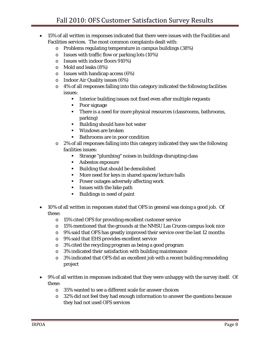- 15% of all written in responses indicated that there were issues with the Facilities and Facilities services. The most common complaints dealt with:
	- o Problems regulating temperature in campus buildings (38%)
	- o Issues with traffic flow or parking lots (10%)
	- o Issues with indoor floors 910%)
	- o Mold and leaks (8%)
	- $\circ$  Issues with handicap access (6%)
	- o Indoor Air Quality issues (6%)
	- o 4% of all responses falling into this category indicated the following facilities issues:
		- **Interior building issues not fixed even after multiple requests**
		- Poor signage
		- There is a need for more physical resources (classrooms, bathrooms, parking)
		- Building should have hot water
		- Windows are broken
		- **Bathrooms are in poor condition**
	- o 2% of all responses falling into this category indicated they saw the following facilities issues:
		- Strange "plumbing" noises in buildings disrupting class
		- **Asbestos exposure**
		- Building that should be demolished
		- **More need for keys in shared spaces/lecture halls**
		- **Power outages adversely affecting work**
		- **ISSUES** with the bike path
		- Buildings in need of paint
- 10% of all written in responses stated that OFS in general was doing a good job. Of these:
	- o 15% cited OFS for providing excellent customer service
	- $\circ$  15% mentioned that the grounds at the NMSU Las Cruces campus look nice
	- o 9% said that OFS has greatly improved their service over the last 12 months
	- o 9% said that EHS provides excellent service
	- o 3% cited the recycling program as being a good program
	- o 3% indicated their satisfaction with building maintenance
	- o 3% indicated that OFS did an excellent job with a recent building remodeling project
- 9% of all written in responses indicated that they were unhappy with the survey itself. Of these:
	- o 35% wanted to see a different scale for answer choices
	- o 32% did not feel they had enough information to answer the questions because they had not used OFS services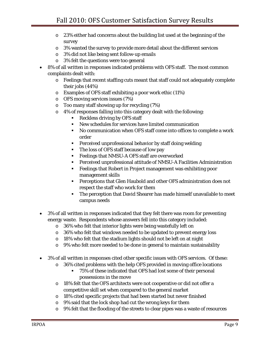- o 23% either had concerns about the building list used at the beginning of the survey
- o 3% wanted the survey to provide more detail about the different services
- o 3% did not like being sent follow-up emails
- o 3% felt the questions were too general
- 8% of all written in responses indicated problems with OFS staff. The most common complaints dealt with:
	- o Feelings that recent staffing cuts meant that staff could not adequately complete their jobs (44%)
	- o Examples of OFS staff exhibiting a poor work ethic (11%)
	- o OFS moving services issues (7%)
	- o Too many staff showing up for recycling (7%)
	- o 4% of responses falling into this category dealt with the following:
		- Reckless driving by OFS staff
		- New schedules for services have limited communication
		- No communication when OFS staff come into offices to complete a work order
		- Perceived unprofessional behavior by staff doing welding
		- The loss of OFS staff because of low pay
		- Feelings that NMSU-A OFS staff are overworked
		- Perceived unprofessional attitude of NMSU-A Facilities Administration
		- Feelings that Robert in Project management was exhibiting poor management skills
		- Perceptions that Glen Haubold and other OFS administration does not respect the staff who work for them
		- The perception that David Shearer has made himself unavailable to meet campus needs
- 3% of all written in responses indicated that they felt there was room for preventing energy waste. Respondents whose answers fell into this category included:
	- o 36% who felt that interior lights were being wastefully left on
	- o 36% who felt that windows needed to be updated to prevent energy loss
	- o 18% who felt that the stadium lights should not be left on at night
	- o 9% who felt more needed to be done in general to maintain sustainability
- 3% of all written in responses cited other specific issues with OFS services. Of these:
	- $\circ$  36% cited problems with the help OFS provided in moving office locations
		- 75% of these indicated that OFS had lost some of their personal possessions in the move
	- o 18% felt that the OFS architects were not cooperative or did not offer a competitive skill set when compared to the general market
	- o 18% cited specific projects that had been started but never finished
	- o 9% said that the lock shop had cut the wrong keys for them
	- o 9% felt that the flooding of the streets to clear pipes was a waste of resources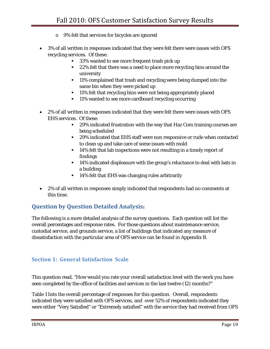- o 9% felt that services for bicycles are ignored
- 3% of all written in responses indicated that they were felt there were issues with OFS recycling services. Of these:
	- <sup>33%</sup> wanted to see more frequent trash pick up
	- <sup>22%</sup> felt that there was a need to place more recycling bins around the university
	- <sup>11%</sup> complained that trash and recycling were being dumped into the same bin when they were picked up
	- <sup>11%</sup> felt that recycling bins were not being appropriately placed
	- 11% wanted to see more cardboard recycling occurring
- 2% of all written in responses indicated that they were felt there were issues with OFS EHS services. Of these:
	- **29% indicated frustration with the way that Haz Com training courses are** being scheduled
	- <sup>29%</sup> indicated that EHS staff were non responsive or rude when contacted to clean up and take care of some issues with mold
	- <sup>14%</sup> felt that lab inspections were not resulting in a timely report of findings
	- <sup>14%</sup> indicated displeasure with the group's reluctance to deal with bats in a building
	- <sup>1</sup> 14% felt that EHS was changing rules arbitrarily
- 2% of all written in responses simply indicated that respondents had no comments at this time.

# **Question by Question Detailed Analysis:**

The following is a more detailed analysis of the survey questions. Each question will list the overall percentages and response rates. For those questions about maintenance service, custodial service, and grounds service, a list of buildings that indicated any measure of dissatisfaction with the particular area of OFS service can be found in Appendix B.

# **Section 1: General Satisfaction Scale**

This question read, "How would you rate your overall satisfaction level with the work you have seen completed by the office of facilities and services in the last twelve (12) months?"

Table 1 lists the overall percentage of responses for this question. Overall, respondents indicated they were satisfied with OFS services, and over 52% of respondents indicated they were either "Very Satisfied" or "Extremely satisfied" with the service they had received from OFS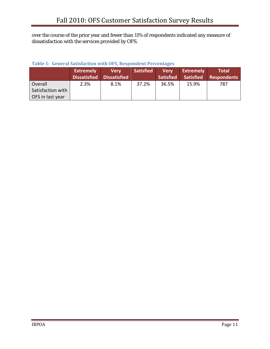over the course of the prior year and fewer than 11% of respondents indicated any measure of dissatisfaction with the services provided by OFS.

|                   | <b>Extremely</b> | Verv<br>Dissatisfied Dissatisfied | <b>Satisfied</b> | <b>Very</b><br><b>Satisfied</b> | <b>Extremely</b><br><b>Satisfied</b> | <b>Total</b><br><b>Respondents</b> |
|-------------------|------------------|-----------------------------------|------------------|---------------------------------|--------------------------------------|------------------------------------|
| Overall           | 2.3%             | 8.1%                              | 37.2%            | 36.5%                           | 15.9%                                | 787                                |
| Satisfaction with |                  |                                   |                  |                                 |                                      |                                    |
| OFS in last year  |                  |                                   |                  |                                 |                                      |                                    |

#### **Table 1: General Satisfaction with OFS, Respondent Percentages**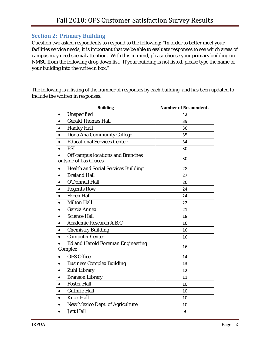# **Section 2: Primary Building**

Question two asked respondents to respond to the following: "In order to better meet your facilities service needs, it is important that we be able to evaluate responses to see which areas of campus may need special attention. With this in mind, please choose your primary building on NMSU from the following drop down list. If your building is not listed, please type the name of your building into the write-in box."

The following is a listing of the number of responses by each building, and has been updated to include the written in responses.

| <b>Building</b>                                            | <b>Number of Respondents</b> |
|------------------------------------------------------------|------------------------------|
| Unspecified<br>$\bullet$                                   | 42                           |
| <b>Gerald Thomas Hall</b>                                  | 39                           |
| <b>Hadley Hall</b>                                         | 36                           |
| <b>Dona Ana Community College</b>                          | 35                           |
| <b>Educational Services Center</b>                         | 34                           |
| <b>PSL</b>                                                 | 30                           |
| Off campus locations and Branches<br>outside of Las Cruces | 30                           |
| <b>Health and Social Services Building</b><br>$\bullet$    | 28                           |
| <b>Breland Hall</b>                                        | 27                           |
| <b>O'Donnell Hall</b>                                      | 26                           |
| <b>Regents Row</b>                                         | 24                           |
| <b>Skeen Hall</b>                                          | 24                           |
| <b>Milton Hall</b>                                         | 22                           |
| <b>Garcia Annex</b>                                        | 21                           |
| <b>Science Hall</b>                                        | 18                           |
| Academic Research A, B, C                                  | 16                           |
| <b>Chemistry Building</b>                                  | 16                           |
| <b>Computer Center</b>                                     | 16                           |
| <b>Ed and Harold Foreman Engineering</b><br>Complex        | 16                           |
| <b>OFS Office</b>                                          | 14                           |
| <b>Business Complex Building</b><br>$\bullet$              | 13                           |
| <b>Zuhl Library</b>                                        | 12                           |
| <b>Branson Library</b>                                     | 11                           |
| <b>Foster Hall</b>                                         | 10                           |
| <b>Guthrie Hall</b>                                        | 10                           |
| <b>Knox Hall</b>                                           | 10                           |
| <b>New Mexico Dept. of Agriculture</b>                     | 10                           |
| <b>Jett Hall</b>                                           | 9                            |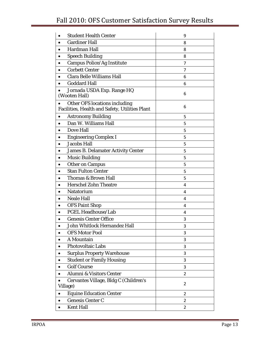# Fall 2010: OFS Customer Satisfaction Survey Results

| <b>Student Health Center</b>                                                    | 9              |
|---------------------------------------------------------------------------------|----------------|
| <b>Gardiner Hall</b>                                                            | 8              |
| Hardman Hall                                                                    | 8              |
| <b>Speech Building</b>                                                          | 8              |
| <b>Campus Police/Ag Institute</b>                                               | 7              |
| <b>Corbett Center</b>                                                           | 7              |
| <b>Clara Belle Williams Hall</b>                                                | 6              |
| <b>Goddard Hall</b>                                                             | 6              |
| Jornada USDA Exp. Range HQ<br>(Wooten Hall)                                     | 6              |
| Other OFS locations including<br>Facilities, Health and Safety, Utilities Plant | 6              |
| <b>Astronomy Building</b><br>٠                                                  | 5              |
| Dan W. Williams Hall                                                            | 5              |
| <b>Dove Hall</b>                                                                | 5              |
| <b>Engineering Complex I</b>                                                    | 5              |
| <b>Jacobs Hall</b>                                                              | 5              |
| <b>James B. Delamater Activity Center</b>                                       | 5              |
| <b>Music Building</b>                                                           | 5              |
| <b>Other on Campus</b>                                                          | 5              |
| <b>Stan Fulton Center</b>                                                       | 5              |
| Thomas & Brown Hall                                                             | 5              |
| <b>Herschel Zohn Theatre</b>                                                    | 4              |
| <b>Natatorium</b>                                                               | 4              |
| <b>Neale Hall</b>                                                               | 4              |
| <b>OFS Paint Shop</b>                                                           | 4              |
| <b>PGEL Headhouse/Lab</b>                                                       | 4              |
| <b>Genesis Center Office</b>                                                    | 3              |
| John Whitlock Hernandez Hall                                                    | 3              |
| <b>OFS Motor Pool</b>                                                           | 3              |
| A Mountain                                                                      | 3              |
| <b>Photovoltaic Labs</b>                                                        | 3              |
| <b>Surplus Property Warehouse</b>                                               | 3              |
| <b>Student or Family Housing</b><br>٠                                           | 3              |
| <b>Golf Course</b>                                                              | 3              |
| Alumni & Visitors Center                                                        | $\overline{2}$ |
| Cervantes Village, Bldg C (Children's<br>Village)                               | $\overline{2}$ |
| <b>Equine Education Center</b><br>٠                                             | 2              |
| <b>Genesis Center C</b><br>٠                                                    | 2              |
| <b>Kent Hall</b>                                                                | 2              |
|                                                                                 |                |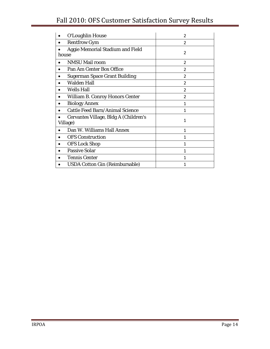# Fall 2010: OFS Customer Satisfaction Survey Results

| O'Loughlin House                                  | $\mathfrak{p}$ |
|---------------------------------------------------|----------------|
| <b>Rentfrow Gym</b>                               | 2              |
| <b>Aggie Memorial Stadium and Field</b><br>house  | $\overline{2}$ |
| <b>NMSU Mail room</b>                             | $\overline{2}$ |
| Pan Am Center Box Office                          | $\overline{2}$ |
| <b>Sugerman Space Grant Building</b>              | $\overline{2}$ |
| <b>Walden Hall</b>                                | $\overline{2}$ |
| <b>Wells Hall</b>                                 | $\overline{2}$ |
| <b>William B. Conroy Honors Center</b>            | $\overline{2}$ |
| <b>Biology Annex</b>                              | 1              |
| <b>Cattle Feed Barn/Animal Science</b>            | 1              |
| Cervantes Village, Bldg A (Children's<br>Village) | 1              |
| Dan W. Williams Hall Annex                        | 1              |
| <b>OFS Construction</b>                           | 1              |
| <b>OFS Lock Shop</b>                              | 1              |
| <b>Passive Solar</b>                              | 1              |
| <b>Tennis Center</b>                              | 1              |
| <b>USDA Cotton Gin (Reimbursable)</b>             | 1              |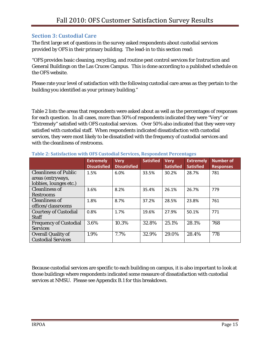# **Section 3: Custodial Care**

The first large set of questions in the survey asked respondents about custodial services provided by OFS in their primary building. The lead-in to this section read:

"OFS provides basic cleaning, recycling, and routine pest control services for Instruction and General Buildings on the Las Cruces Campus. This is done according to a published schedule on the OFS website.

Please rate your level of satisfaction with the following custodial care areas as they pertain to the building you identified as your primary building."

Table 2 lists the areas that respondents were asked about as well as the percentages of responses for each question. In all cases, more than 50% of respondents indicated they were "Very" or "Extremely" satisfied with OFS custodial services. Over 50% also indicated that they were very satisfied with custodial staff. When respondents indicated dissatisfaction with custodial services, they were most likely to be dissatisfied with the frequency of custodial services and with the cleanliness of restrooms.

|                               | <b>Extremely</b><br><b>Dissatisfied</b> | <b>Very</b><br><b>Dissatisfied</b> | <b>Satisfied</b> | <b>Very</b><br><b>Satisfied</b> | <b>Extremely</b><br><b>Satisfied</b> | <b>Number of</b><br><b>Responses</b> |
|-------------------------------|-----------------------------------------|------------------------------------|------------------|---------------------------------|--------------------------------------|--------------------------------------|
| <b>Cleanliness of Public</b>  | 1.5%                                    | 6.0%                               | 33.5%            | 30.2%                           | 28.7%                                | 781                                  |
| areas (entryways,             |                                         |                                    |                  |                                 |                                      |                                      |
| lobbies, lounges etc.)        |                                         |                                    |                  |                                 |                                      |                                      |
| <b>Cleanliness of</b>         | 3.6%                                    | 8.2%                               | 35.4%            | 26.1%                           | 26.7%                                | 779                                  |
| <b>Restrooms</b>              |                                         |                                    |                  |                                 |                                      |                                      |
| <b>Cleanliness of</b>         | 1.8%                                    | 8.7%                               | 37.2%            | 28.5%                           | 23.8%                                | 761                                  |
| offices/classrooms            |                                         |                                    |                  |                                 |                                      |                                      |
| <b>Courtesy of Custodial</b>  | 0.8%                                    | 1.7%                               | 19.6%            | 27.9%                           | 50.1%                                | 771                                  |
| <b>Staff</b>                  |                                         |                                    |                  |                                 |                                      |                                      |
| <b>Frequency of Custodial</b> | 3.6%                                    | 10.3%                              | 32.8%            | 25.1%                           | 28.1%                                | 768                                  |
| <b>Services</b>               |                                         |                                    |                  |                                 |                                      |                                      |
| <b>Overall Quality of</b>     | 1.9%                                    | 7.7%                               | 32.9%            | 29.0%                           | 28.4%                                | 778                                  |
| <b>Custodial Services</b>     |                                         |                                    |                  |                                 |                                      |                                      |

#### **Table 2: Satisfaction with OFS Custodial Services, Respondent Percentages**

Because custodial services are specific to each building on campus, it is also important to look at those buildings where respondents indicated some measure of dissatisfaction with custodial services at NMSU. Please see Appendix B.1 for this breakdown.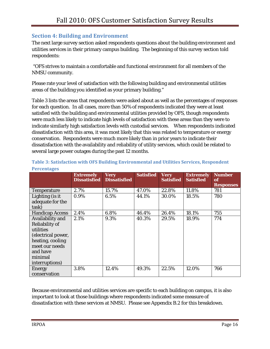# **Section 4: Building and Environment**

The next large survey section asked respondents questions about the building environment and utilities services in their primary campus building. The beginning of this survey section told respondents:

 "OFS strives to maintain a comfortable and functional environment for all members of the NMSU community.

Please rate your level of satisfaction with the following building and environmental utilities areas of the building you identified as your primary building."

Table 3 lists the areas that respondents were asked about as well as the percentages of responses for each question. In all cases, more than 50% of respondents indicated they were at least satisfied with the building and environmental utilities provided by OFS, though respondents were much less likely to indicate high levels of satisfaction with these areas than they were to indicate similarly high satisfaction levels with custodial services. When respondents indicated dissatisfaction with this area, it was most likely that this was related to temperature or energy conservation. Respondents were much more likely than in prior years to indicate their dissatisfaction with the availability and reliability of utility services, which could be related to several large power outages during the past 12 months.

|                        | <b>Extremely</b><br><b>Dissatisfied</b> | <b>Very</b><br><b>Dissatisfied</b> | <b>Satisfied</b> | <b>Very</b><br><b>Satisfied</b> | <b>Extremely</b><br><b>Satisfied</b> | <b>Number</b><br><b>of</b><br><b>Responses</b> |
|------------------------|-----------------------------------------|------------------------------------|------------------|---------------------------------|--------------------------------------|------------------------------------------------|
| <b>Temperature</b>     | 2.7%                                    | 15.7%                              | 47.0%            | 22.8%                           | 11.8%                                | 781                                            |
| Lighting (is it        | $0.9\%$                                 | 6.5%                               | 44.1%            | 30.0%                           | 18.5%                                | 780                                            |
| adequate for the       |                                         |                                    |                  |                                 |                                      |                                                |
| task)                  |                                         |                                    |                  |                                 |                                      |                                                |
| <b>Handicap Access</b> | 2.4%                                    | 6.8%                               | 46.4%            | 26.4%                           | 18.1%                                | 755                                            |
| Availability and       | 2.1%                                    | 9.3%                               | 40.3%            | 29.5%                           | 18.9%                                | 774                                            |
| <b>Reliability of</b>  |                                         |                                    |                  |                                 |                                      |                                                |
| utilities              |                                         |                                    |                  |                                 |                                      |                                                |
| (electrical power,     |                                         |                                    |                  |                                 |                                      |                                                |
| heating, cooling       |                                         |                                    |                  |                                 |                                      |                                                |
| meet our needs         |                                         |                                    |                  |                                 |                                      |                                                |
| and have               |                                         |                                    |                  |                                 |                                      |                                                |
| minimal                |                                         |                                    |                  |                                 |                                      |                                                |
| interruptions)         |                                         |                                    |                  |                                 |                                      |                                                |
| <b>Energy</b>          | 3.8%                                    | 12.4%                              | 49.3%            | 22.5%                           | 12.0%                                | 766                                            |
| conservation           |                                         |                                    |                  |                                 |                                      |                                                |

**Table 3: Satisfaction with OFS Building Environmental and Utilities Services, Respondent Percentages**

Because environmental and utilities services are specific to each building on campus, it is also important to look at those buildings where respondents indicated some measure of dissatisfaction with these services at NMSU. Please see Appendix B.2 for this breakdown.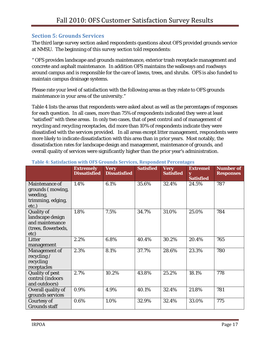### **Section 5: Grounds Services**

The third large survey section asked respondents questions about OFS provided grounds service at NMSU. The beginning of this survey section told respondents:

" OFS provides landscape and grounds maintenance, exterior trash receptacle management and concrete and asphalt maintenance. In addition OFS maintains the walkways and roadways around campus and is responsible for the care of lawns, trees, and shrubs. OFS is also funded to maintain campus drainage systems.

Please rate your level of satisfaction with the following areas as they relate to OFS grounds maintenance in your area of the university."

Table 4 lists the areas that respondents were asked about as well as the percentages of responses for each question. In all cases, more than 75% of respondents indicated they were at least "satisfied" with these areas. In only two cases, that of pest control and of management of recycling and recycling receptacles, did more than 10% of respondents indicate they were dissatisfied with the services provided. In all areas except litter management, respondents were more likely to indicate dissatisfaction with this area than in prior years. Most notably, the dissatisfaction rates for landscape design and management, maintenance of grounds, and overall quality of services were significantly higher than the prior year's administration.

|                                                                                  | <b>Extremely</b><br><b>Dissatisfied</b> | <b>Very</b><br><b>Dissatisfied</b> | <b>Satisfied</b> | <b>Very</b><br><b>Satisfied</b> | <b>Extremel</b><br>y<br><b>Satisfied</b> | <b>Number of</b><br><b>Responses</b> |
|----------------------------------------------------------------------------------|-----------------------------------------|------------------------------------|------------------|---------------------------------|------------------------------------------|--------------------------------------|
| Maintenance of<br>grounds (mowing,<br>weeding,<br>trimming, edging,<br>etc.)     | 1.4%                                    | 6.1%                               | 35.6%            | 32.4%                           | 24.5%                                    | 787                                  |
| Quality of<br>landscape design<br>and maintenance<br>(trees, flowerbeds,<br>etc) | 1.8%                                    | 7.5%                               | 34.7%            | 31.0%                           | 25.0%                                    | 784                                  |
| Litter<br>management                                                             | 2.2%                                    | 6.8%                               | 40.4%            | 30.2%                           | 20.4%                                    | 765                                  |
| Management of<br>recycling /<br>recycling<br>receptacles                         | 2.3%                                    | 8.1%                               | 37.7%            | 28.6%                           | 23.3%                                    | 780                                  |
| <b>Quality of pest</b><br>control (indoors<br>and outdoors)                      | 2.7%                                    | 10.2%                              | 43.8%            | 25.2%                           | 18.1%                                    | 778                                  |
| Overall quality of<br>grounds services                                           | 0.9%                                    | 4.9%                               | 40.1%            | 32.4%                           | 21.8%                                    | 781                                  |
| Courtesy of<br><b>Grounds staff</b>                                              | 0.6%                                    | 1.0%                               | 32.9%            | 32.4%                           | 33.0%                                    | 775                                  |

#### **Table 4: Satisfaction with OFS Grounds Services, Respondent Percentages**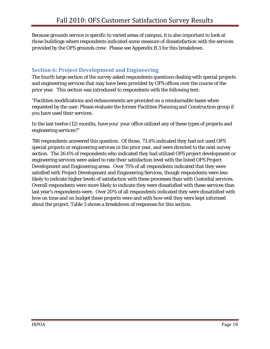Because grounds service is specific to varied areas of campus, it is also important to look at those buildings where respondents indicated some measure of dissatisfaction with the services provided by the OFS grounds crew. Please see Appendix B.3 for this breakdown.

# **Section 6: Project Development and Engineering**

The fourth large section of the survey asked respondents questions dealing with special projects and engineering services that may have been provided by OFS offices over the course of the prior year. This section was introduced to respondents with the following text:

"Facilities modifications and enhancements are provided on a reimbursable bases when requested by the user. Please evaluate the former Facilities Planning and Construction group if you have used their services.

In the last twelve (12) months, have you/ your office utilized any of these types of projects and engineering services?"

786 respondents answered this question. Of those, 73.4% indicated they had not used OFS special projects or engineering services in the prior year, and were directed to the next survey section. The 26.6% of respondents who indicated they had utilized OFS project development or engineering services were asked to rate their satisfaction level with the listed OFS Project Development and Engineering areas. Over 75% of all respondents indicated that they were satisfied with Project Development and Engineering Services, though respondents were less likely to indicate higher levels of satisfaction with these processes than with Custodial services. Overall respondents were more likely to indicate they were dissatisfied with these services than last year's respondents were. Over 20% of all respondents indicated they were dissatisfied with how on time and on budget these projects were and with how well they were kept informed about the project. Table 5 shows a breakdown of responses for this section.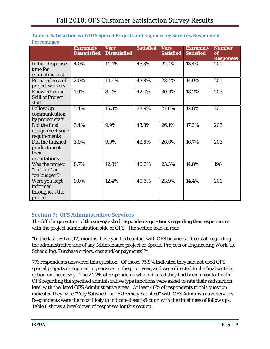|                                                           | <b>Extremely</b><br><b>Dissatisfied</b> | <b>Very</b><br><b>Dissatisfied</b> | <b>Satisfied</b> | <b>Very</b><br><b>Satisfied</b> | <b>Extremely</b><br><b>Satisfied</b> | <b>Number</b><br>of<br><b>Responses</b> |
|-----------------------------------------------------------|-----------------------------------------|------------------------------------|------------------|---------------------------------|--------------------------------------|-----------------------------------------|
| <b>Initial Response</b><br>time for<br>estimating cost    | 4.0%                                    | 14.4%                              | 45.8%            | 22.4%                           | 13.4%                                | 201                                     |
| Preparedness of<br>project workers                        | 2.0%                                    | 10.9%                              | 43.8%            | 28.4%                           | 14.9%                                | 201                                     |
| Knowledge and<br><b>Skill of Project</b><br>staff         | 1.0%                                    | 8.4%                               | 42.4%            | 30.3%                           | 18.2%                                | 203                                     |
| <b>Follow Up</b><br>communication<br>by project staff     | 5.4%                                    | 15.3%                              | 38.9%            | 27.6%                           | 12.8%                                | 203                                     |
| Did the final<br>design meet your<br>requirements         | 3.4%                                    | 9.9%                               | 43.3%            | 26.1%                           | 17.2%                                | 203                                     |
| Did the finished<br>product meet<br>their<br>expectations | 3.0%                                    | 9.9%                               | 43.8%            | 26.6%                           | 16.7%                                | 203                                     |
| Was the project<br>"on time" and<br>"on budget"?          | 8.7%                                    | 12.8%                              | 40.3%            | 23.5%                           | 14.8%                                | 196                                     |
| Were you kept<br>informed<br>throughout the<br>project    | 9.0%                                    | 12.4%                              | 40.3%            | 23.9%                           | 14.4%                                | 201                                     |

#### **Table 5: Satisfaction with OFS Special Projects and Engineering Services, Respondent Percentages**

# **Section 7: OFS Administrative Services**

The fifth large section of the survey asked respondents questions regarding their experiences with the project administration side of OFS. The section lead-in read:

"In the last twelve (12) months, have you had contact with OFS business office staff regarding the administrative side of any Maintenance project or Special Projects or Engineering Work (i.e. Scheduling, Purchase orders, cost and/or payments)?"

776 respondents answered this question. Of those, 75.8% indicated they had not used OFS special projects or engineering services in the prior year, and were directed to the final write in option on the survey. The 24.2% of respondents who indicated they had been in contact with OFS regarding the specified administrative type functions were asked to rate their satisfaction level with the listed OFS Administrative areas. At least 40% of respondents to this question indicated they were "Very Satisfied" or "Extremely Satisfied" with OFS Administrative services. Respondents were the most likely to indicate dissatisfaction with the timeliness of follow ups. Table 6 shows a breakdown of responses for this section.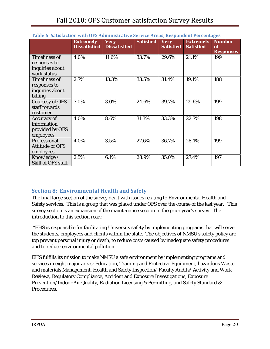|                                                                        | <b>Extremely</b><br><b>Dissatisfied</b> | <b>Very</b><br><b>Dissatisfied</b> | <b>Satisfied</b> | <b>Very</b><br><b>Satisfied</b> | <b>Extremely</b><br><b>Satisfied</b> | <b>Number</b><br>of<br><b>Responses</b> |
|------------------------------------------------------------------------|-----------------------------------------|------------------------------------|------------------|---------------------------------|--------------------------------------|-----------------------------------------|
| <b>Timeliness of</b><br>responses to<br>inquiries about<br>work status | 4.0%                                    | 11.6%                              | 33.7%            | 29.6%                           | 21.1%                                | 199                                     |
| <b>Timeliness of</b><br>responses to<br>inquiries about<br>billing     | 2.7%                                    | 13.3%                              | 33.5%            | 31.4%                           | 19.1%                                | 188                                     |
| <b>Courtesy of OFS</b><br>staff towards<br>customer                    | 3.0%                                    | 3.0%                               | 24.6%            | 39.7%                           | 29.6%                                | 199                                     |
| <b>Accuracy of</b><br>information<br>provided by OFS<br>employees      | 4.0%                                    | 8.6%                               | 31.3%            | 33.3%                           | 22.7%                                | 198                                     |
| Professional<br><b>Attitude of OFS</b><br>employees                    | 4.0%                                    | 3.5%                               | 27.6%            | 36.7%                           | 28.1%                                | 199                                     |
| Knowledge /<br>Skill of OFS staff                                      | 2.5%                                    | 6.1%                               | 28.9%            | 35.0%                           | 27.4%                                | 197                                     |

#### **Table 6: Satisfaction with OFS Administrative Service Areas, Respondent Percentages**

# **Section 8: Environmental Health and Safety**

The final large section of the survey dealt with issues relating to Environmental Health and Safety services. This is a group that was placed under OFS over the course of the last year. This survey section is an expansion of the maintenance section in the prior year's survey. The introduction to this section read:

 "EHS is responsible for facilitating University safety by implementing programs that will serve the students, employees and clients within the state. The objectives of NMSU's safety policy are top prevent personal injury or death, to reduce costs caused by inadequate safety procedures and to reduce environmental pollution.

EHS fulfills its mission to make NMSU a safe environment by implementing programs and services in eight major areas: Education, Training and Protective Equipment, hazardous Waste and materials Management, Health and Safety Inspection/ Faculty Audits/ Activity and Work Reviews, Regulatory Compliance, Accident and Exposure Investigations, Exposure Prevention/Indoor Air Quality, Radiation Licensing & Permitting, and Safety Standard & Procedures."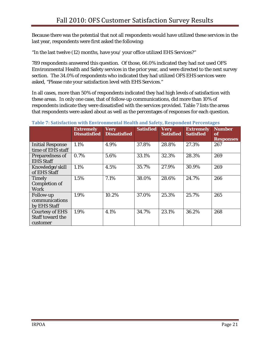Because there was the potential that not all respondents would have utilized these services in the last year, respondents were first asked the following:

"In the last twelve (12) months, have you/ your office utilized EHS Services?"

789 respondents answered this question. Of those, 66.0% indicated they had not used OFS Environmental Health and Safety services in the prior year, and were directed to the next survey section. The 34.0% of respondents who indicated they had utilized OFS EHS services were asked, "Please rate your satisfaction level with EHS Services."

In all cases, more than 50% of respondents indicated they had high levels of satisfaction with these areas. In only one case, that of follow-up communications, did more than 10% of respondents indicate they were dissatisfied with the services provided. Table 7 lists the areas that respondents were asked about as well as the percentages of responses for each question.

|                                              | <b>Extremely</b><br><b>Dissatisfied</b> | <b>Very</b><br><b>Dissatisfied</b> | <b>Satisfied</b> | <b>Very</b><br><b>Satisfied</b> | <b>Extremely</b><br><b>Satisfied</b> | <b>Number</b><br>of |
|----------------------------------------------|-----------------------------------------|------------------------------------|------------------|---------------------------------|--------------------------------------|---------------------|
|                                              |                                         |                                    |                  |                                 |                                      | <b>Responses</b>    |
| <b>Initial Response</b><br>time of EHS staff | 1.1%                                    | 4.9%                               | 37.8%            | 28.8%                           | 27.3%                                | 267                 |
| Preparedness of                              | 0.7%                                    | 5.6%                               | 33.1%            | 32.3%                           | 28.3%                                | 269                 |
| <b>EHS Staff</b>                             |                                         |                                    |                  |                                 |                                      |                     |
| Knowledge/skill                              | 1.1%                                    | 4.5%                               | 35.7%            | 27.9%                           | 30.9%                                | 269                 |
| of EHS Staff                                 |                                         |                                    |                  |                                 |                                      |                     |
| <b>Timely</b>                                | 1.5%                                    | 7.1%                               | 38.0%            | 28.6%                           | 24.7%                                | 266                 |
| <b>Completion of</b>                         |                                         |                                    |                  |                                 |                                      |                     |
| <b>Work</b>                                  |                                         |                                    |                  |                                 |                                      |                     |
| Follow-up                                    | 1.9%                                    | 10.2%                              | 37.0%            | 25.3%                           | 25.7%                                | 265                 |
| communications                               |                                         |                                    |                  |                                 |                                      |                     |
| by EHS Staff                                 |                                         |                                    |                  |                                 |                                      |                     |
| <b>Courtesy of EHS</b>                       | 1.9%                                    | 4.1%                               | 34.7%            | 23.1%                           | 36.2%                                | 268                 |
| Staff toward the                             |                                         |                                    |                  |                                 |                                      |                     |
| customer                                     |                                         |                                    |                  |                                 |                                      |                     |

#### **Table 7: Satisfaction with Environmental Health and Safety, Respondent Percentages**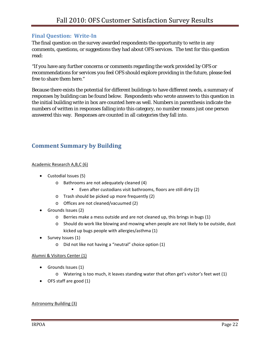# **Final Question: WriteIn**

The final question on the survey awarded respondents the opportunity to write in any comments, questions, or suggestions they had about OFS services. The text for this question read:

"If you have any further concerns or comments regarding the work provided by OFS or recommendations for services you feel OFS should explore providing in the future, please feel free to share them here."

Because there exists the potential for different buildings to have different needs, a summary of responses by building can be found below. Respondents who wrote answers to this question in the initial building write in box are counted here as well. Numbers in parenthesis indicate the numbers of written in responses falling into this category, no number means just one person answered this way. Responses are counted in all categories they fall into.

# **Comment Summary by Building**

#### Academic Research A,B,C (6)

- Custodial Issues (5)
	- o Bathrooms are not adequately cleaned (4)
		- Even after custodians visit bathrooms, floors are still dirty (2)
	- o Trash should be picked up more frequently (2)
	- o Offices are not cleaned/vacuumed (2)
- Grounds Issues (2)
	- o Berries make a mess outside and are not cleaned up, this brings in bugs (1)
	- o Should do work like blowing and mowing when people are not likely to be outside, dust kicked up bugs people with allergies/asthma (1)
- Survey Issues (1)
	- o Did not like not having a "neutral" choice option (1)

#### Alumni & Visitors Center (1)

- Grounds Issues (1)
	- o Watering is too much, it leaves standing water that often get's visitor's feet wet (1)
- OFS staff are good (1)

#### Astronomy Building (3)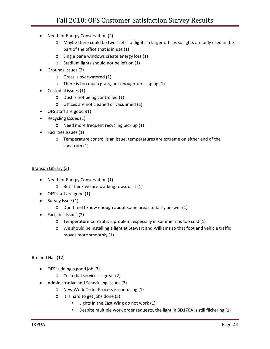- Need for Energy Conservation (2)
	- o Maybe there could be two "sets" of lights in larger offices so lights are only used in the part of the office that is in use (1)
	- o Single pane windows create energy loss (1)
	- o Stadium lights should not be left on (1)
- Grounds Issues (2)
	- o Grass is overwatered (1)
	- o There is too much grass, not enough xeriscaping (1)
- Custodial issues (1)
	- o Dust is not being controlled (1)
	- o Offices are not cleaned or vacuumed (1)
- OFS staff are good 91)
- Recycling Issues (1)
	- o Need more frequent recycling pick up (1)
- Facilities Issues (1)
	- o Temperature control is an issue, temperatures are extreme on either end of the spectrum (1)

#### Branson Library (3)

- Need for Energy Conservation (1)
	- o But I think we are working towards it (1)
- OFS staff are good (1)
- Survey Issue (1)
	- o Don't feel I know enough about some areas to fairly answer (1)
- Facilities Issues (2)
	- o Temperature Control is a problem, especially in summer it is too cold (1)
	- o We should be installing a light at Stewart and Williams so that foot and vehicle traffic moves more smoothly (1)

#### Breland Hall (12)

- OFS is doing a good job (3)
	- o Custodial services is great (2)
- Administrative and Scheduling Issues (3)
	- o New Work Order Process is confusing (1)
		- o It is hard to get jobs done (3)
			- **E** Lights in the East Wing do not work (1)
			- **Despite multiple work order requests, the light in BD170A is still flickering (1)**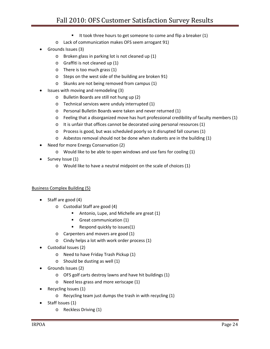- It took three hours to get someone to come and flip a breaker  $(1)$
- o Lack of communication makes OFS seem arrogant 91)
- Grounds Issues (3)
	- o Broken glass in parking lot is not cleaned up (1)
	- o Graffiti is not cleaned up (1)
	- o There is too much grass (1)
	- o Steps on the west side of the building are broken 91)
	- o Skunks are not being removed from campus (1)
- Issues with moving and remodeling (3)
	- o Bulletin Boards are still not hung up (2)
	- o Technical services were unduly interrupted (1)
	- o Personal Bulletin Boards were taken and never returned (1)
	- o Feeling that a disorganized move has hurt professional credibility of faculty members (1)
	- o It is unfair that offices cannot be decorated using personal resources (1)
	- o Process is good, but was scheduled poorly so it disrupted fall courses (1)
	- o Asbestos removal should not be done when students are in the building (1)
- Need for more Energy Conservation (2)
	- o Would like to be able to open windows and use fans for cooling (1)
- Survey Issue (1)
	- o Would like to have a neutral midpoint on the scale of choices (1)

#### Business Complex Building (5)

- Staff are good (4)
	- o Custodial Staff are good (4)
		- **Antonio, Lupe, and Michelle are great (1)**
		- Great communication (1)
		- Respond quickly to issues(1)
	- o Carpenters and movers are good (1)
	- o Cindy helps a lot with work order process (1)
- Custodial Issues (2)
	- o Need to have Friday Trash Pickup (1)
	- o Should be dusting as well (1)
- Grounds Issues (2)
	- o OFS golf carts destroy lawns and have hit buildings (1)
	- o Need less grass and more xeriscape (1)
- Recycling Issues (1)
	- o Recycling team just dumps the trash in with recycling (1)
- Staff Issues (1)
	- o Reckless Driving (1)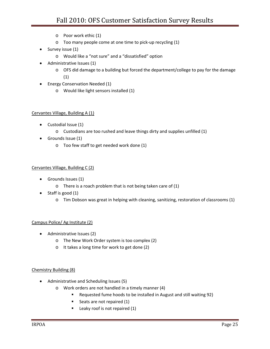- o Poor work ethic (1)
- o Too many people come at one time to pick‐up recycling (1)
- Survey issue (1)
	- o Would like a "not sure" and a "dissatisfied" option
- Administrative Issues (1)
	- o OFS did damage to a building but forced the department/college to pay for the damage (1)
- Energy Conservation Needed (1)
	- o Would like light sensors installed (1)

#### Cervantes Village, Building A (1)

- Custodial Issue (1)
	- o Custodians are too rushed and leave things dirty and supplies unfilled (1)
- Grounds Issue (1)
	- o Too few staff to get needed work done (1)

#### Cervantes Village, Building C (2)

- Grounds Issues (1)
	- o There is a roach problem that is not being taken care of (1)
- Staff is good (1)
	- o Tim Dobson was great in helping with cleaning, sanitizing, restoration of classrooms (1)

#### Campus Police/ Ag Institute (2)

- Administrative Issues (2)
	- o The New Work Order system is too complex (2)
	- o It takes a long time for work to get done (2)

#### Chemistry Building (8)

- Administrative and Scheduling Issues (5)
	- o Work orders are not handled in a timely manner (4)
		- Requested fume hoods to be installed in August and still waiting 92)
		- Seats are not repaired (1)
		- $\blacksquare$  Leaky roof is not repaired (1)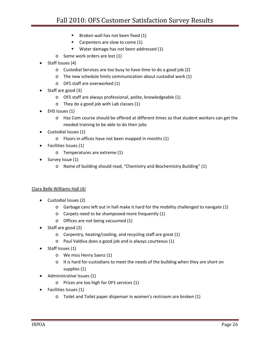- **Broken wall has not been fixed (1)**
- Carpenters are slow to come (1)
- **Water damage has not been addressed (1)**
- o Some work orders are lost (1)
- Staff Issues (4)
	- o Custodial Services are too busy to have time to do a good job (2)
	- o The new schedule limits communication about custodial work (1)
	- o OFS staff are overworked (1)
- Staff are good (3)
	- o OFS staff are always professional, polite, knowledgeable (1)
	- o They do a good job with Lab classes (1)
- EHS Issues (1)
	- o Haz Com course should be offered at different times so that student workers can get the needed training to be able to do their jobs
- Custodial Issues (1)
	- o Floors in offices have not been mopped in months (1)
- Facilities Issues (1)
	- o Temperatures are extreme (1)
- Survey Issue (1)
	- o Name of building should read, "Chemistry and Biochemistry Building" (1)

#### Clara Belle Williams Hall (4)

- Custodial Issues (2)
	- o Garbage cans left out in hall make it hard for the mobility challenged to navigate (1)
	- o Carpets need to be shampooed more frequently (1)
	- o Offices are not being vacuumed (1)
- Staff are good (2)
	- o Carpentry, heating/cooling, and recycling staff are great (1)
	- o Paul Valdiva does a good job and is always courteous (1)
- Staff Issues (1)
	- o We miss Henry Saenz (1)
	- o It is hard for custodians to meet the needs of the building when they are short on supplies (1)
	- Administrative Issues (1)
		- o Prices are too high for OFS services (1)
- Facilities Issues (1)
	- o Toilet and Toilet paper dispenser in women's restroom are broken (1)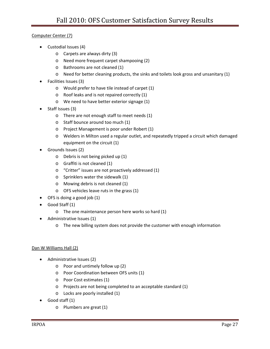#### Computer Center (7)

- Custodial Issues (4)
	- o Carpets are always dirty (3)
	- o Need more frequent carpet shampooing (2)
	- o Bathrooms are not cleaned (1)
	- o Need for better cleaning products, the sinks and toilets look gross and unsanitary (1)
- Facilities Issues (3)
	- o Would prefer to have tile instead of carpet (1)
	- o Roof leaks and is not repaired correctly (1)
	- o We need to have better exterior signage (1)
- Staff Issues (3)
	- o There are not enough staff to meet needs (1)
	- o Staff bounce around too much (1)
	- o Project Management is poor under Robert (1)
	- o Welders in Milton used a regular outlet, and repeatedly tripped a circuit which damaged equipment on the circuit (1)
- Grounds Issues (2)
	- o Debris is not being picked up (1)
	- o Graffiti is not cleaned (1)
	- o "Critter" issues are not proactively addressed (1)
	- o Sprinklers water the sidewalk (1)
	- o Mowing debris is not cleaned (1)
	- o OFS vehicles leave ruts in the grass (1)
- OFS is doing a good job (1)
- Good Staff (1)
	- o The one maintenance person here works so hard (1)
- Administrative Issues (1)
	- o The new billing system does not provide the customer with enough information

#### Dan W Williams Hall (2)

- Administrative Issues (2)
	- o Poor and untimely follow up (2)
	- o Poor Coordination between OFS units (1)
	- o Poor Cost estimates (1)
	- o Projects are not being completed to an acceptable standard (1)
	- o Locks are poorly installed (1)
- Good staff (1)
	- o Plumbers are great (1)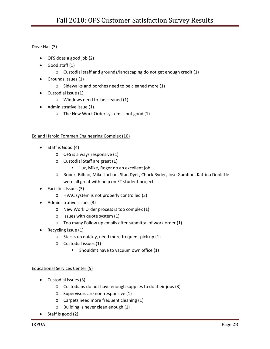#### Dove Hall (3)

- OFS does a good job (2)
- Good staff (1)
	- o Custodial staff and grounds/landscaping do not get enough credit (1)
- Grounds Issues (1)
	- o Sidewalks and porches need to be cleaned more (1)
- Custodial Issue (1)
	- o Windows need to be cleaned (1)
- Administrative Issue (1)
	- o The New Work Order system is not good (1)

#### Ed and Harold Foramen Engineering Complex (10)

- Staff is Good (4)
	- o OFS is always responsive (1)
	- o Custodial Staff are great (1)
		- **Luz, Mike, Roger do an excellent job**
	- o Robert Bilbao, Mike Luchau, Stan Dyer, Chuck Ryder, Jose Gambon, Katrina Doolittle were all great with help on ET student project
- Facilities Issues (3)
	- o HVAC system is not properly controlled (3)
- Administrative issues (3)
	- o New Work Order process is too complex (1)
	- o Issues with quote system (1)
	- o Too many Follow up emails after submittal of work order (1)
- Recycling Issue (1)
	- o Stacks up quickly, need more frequent pick up (1)
	- o Custodial issues (1)
		- **Shouldn't have to vacuum own office (1)**

#### Educational Services Center (5)

- Custodial Issues (3)
	- o Custodians do not have enough supplies to do their jobs (3)
	- o Supervisors are non‐responsive (1)
	- o Carpets need more frequent cleaning (1)
	- o Building is never clean enough (1)
- Staff is good (2)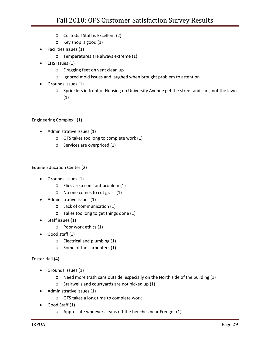- o Custodial Staff is Excellent (2)
- o Key shop is good (1)
- Facilities Issues (1)
	- o Temperatures are always extreme (1)
- EHS Issues (1)
	- o Dragging feet on vent clean up
	- o Ignored mold issues and laughed when brought problem to attention
- Grounds issues (1)
	- o Sprinklers in front of Housing on University Avenue get the street and cars, not the lawn (1)

#### Engineering Complex I (1)

- Administrative Issues (1)
	- o OFS takes too long to complete work (1)
	- o Services are overpriced (1)

#### Equine Education Center (2)

- Grounds issues (1)
	- o Flies are a constant problem (1)
	- o No one comes to cut grass (1)
- Administrative Issues (1)
	- o Lack of communication (1)
	- o Takes too long to get things done (1)
- Staff issues (1)
	- o Poor work ethics (1)
- Good staff (1)
	- o Electrical and plumbing (1)
	- o Some of the carpenters (1)

#### Foster Hall (4)

- Grounds Issues (1)
	- o Need more trash cans outside, especially on the North side of the building (1)
	- o Stairwells and courtyards are not picked up (1)
- Administrative Issues (1)
	- o OFS takes a long time to complete work
- Good Staff (1)
	- o Appreciate whoever cleans off the benches near Frenger (1)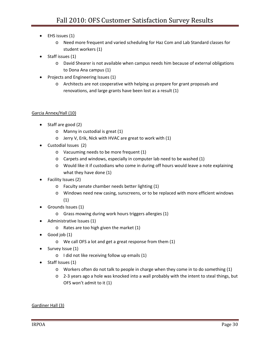- EHS issues (1)
	- o Need more frequent and varied scheduling for Haz Com and Lab Standard classes for student workers (1)
- Staff issues (1)
	- o David Shearer is not available when campus needs him because of external obligations to Dona Ana campus (1)
- Projects and Engineering Issues (1)
	- o Architects are not cooperative with helping us prepare for grant proposals and renovations, and large grants have been lost as a result (1)

#### Garcia Annex/Hall (10)

- Staff are good (2)
	- o Manny in custodial is great (1)
	- o Jerry V, Erik, Nick with HVAC are great to work with (1)
- Custodial Issues (2)
	- o Vacuuming needs to be more frequent (1)
	- o Carpets and windows, especially in computer lab need to be washed (1)
	- o Would like it if custodians who come in during off hours would leave a note explaining what they have done (1)
- Facility Issues (2)
	- o Faculty senate chamber needs better lighting (1)
	- o Windows need new casing, sunscreens, or to be replaced with more efficient windows (1)
- Grounds Issues (1)
	- o Grass mowing during work hours triggers allergies (1)
- Administrative Issues (1)
	- o Rates are too high given the market (1)
- Good job (1)
	- o We call OFS a lot and get a great response from them (1)
- Survey Issue (1)
	- o I did not like receiving follow up emails (1)
- Staff Issues (1)
	- o Workers often do not talk to people in charge when they come in to do something (1)
	- o 2‐3 years ago a hole was knocked into a wall probably with the intent to steal things, but OFS won't admit to it (1)

Gardiner Hall (3)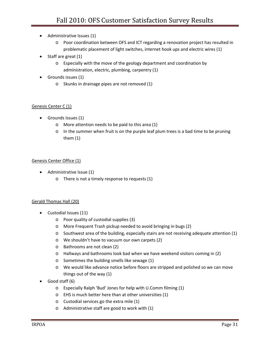- Administrative Issues (1)
	- o Poor coordination between OFS and ICT regarding a renovation project has resulted in problematic placement of light switches, internet hook ups and electric wires (1)
- Staff are great (1)
	- o Especially with the move of the geology department and coordination by administration, electric, plumbing, carpentry (1)
- Grounds issues (1)
	- o Skunks in drainage pipes are not removed (1)

#### Genesis Center C (1)

- Grounds Issues (1)
	- o More attention needs to be paid to this area (1)
	- $\circ$  In the summer when fruit is on the purple leaf plum trees is a bad time to be pruning them (1)

#### Genesis Center Office (1)

- Administrative Issue (1)
	- o There is not a timely response to requests (1)

#### Gerald Thomas Hall (20)

- Custodial Issues (11)
	- o Poor quality of custodial supplies (3)
	- o More Frequent Trash pickup needed to avoid bringing in bugs (2)
	- o Southwest area of the building, especially stairs are not receiving adequate attention (1)
	- o We shouldn't have to vacuum our own carpets (2)
	- o Bathrooms are not clean (2)
	- o Hallways and bathrooms look bad when we have weekend visitors coming in (2)
	- o Sometimes the building smells like sewage (1)
	- o We would like advance notice before floors are stripped and polished so we can move things out of the way (1)
- Good staff (6)
	- o Especially Ralph 'Bud' Jones for help with U.Comm filming (1)
	- o EHS is much better here than at other universities (1)
	- o Custodial services go the extra mile (1)
	- o Administrative staff are good to work with (1)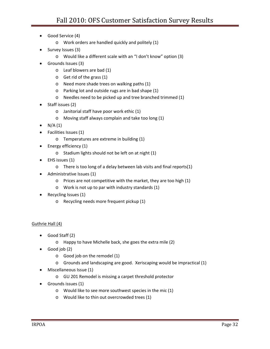- Good Service (4)
	- o Work orders are handled quickly and politely (1)
- Survey Issues (3)
	- o Would like a different scale with an "I don't know" option (3)
- Grounds Issues (3)
	- o Leaf blowers are bad (1)
	- o Get rid of the grass (1)
	- o Need more shade trees on walking paths (1)
	- o Parking lot and outside rugs are in bad shape (1)
	- o Needles need to be picked up and tree branched trimmed (1)
- Staff issues (2)
	- o Janitorial staff have poor work ethic (1)
	- o Moving staff always complain and take too long (1)
- $N/A(1)$
- Facilities Issues (1)
	- o Temperatures are extreme in building (1)
- Energy efficiency (1)
	- o Stadium lights should not be left on at night (1)
- EHS issues (1)
	- o There is too long of a delay between lab visits and final reports(1)
- Administrative Issues (1)
	- o Prices are not competitive with the market, they are too high (1)
	- o Work is not up to par with industry standards (1)
- Recycling Issues (1)
	- o Recycling needs more frequent pickup (1)

#### Guthrie Hall (4)

- Good Staff (2)
	- o Happy to have Michelle back, she goes the extra mile (2)
- Good job (2)
	- o Good job on the remodel (1)
	- o Grounds and landscaping are good. Xeriscaping would be impractical (1)
- Miscellaneous Issue (1)
	- o GU 201 Remodel is missing a carpet threshold protector
- Grounds issues (1)
	- o Would like to see more southwest species in the mic (1)
	- o Would like to thin out overcrowded trees (1)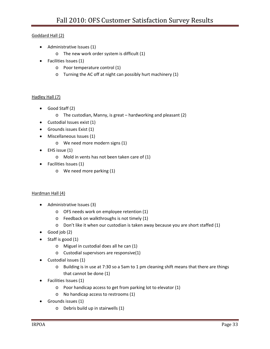#### Goddard Hall (2)

- Administrative Issues (1)
	- o The new work order system is difficult (1)
- Facilities Issues (1)
	- o Poor temperature control (1)
	- o Turning the AC off at night can possibly hurt machinery (1)

#### Hadley Hall (7)

- Good Staff (2)
	- o The custodian, Manny, is great hardworking and pleasant (2)
- Custodial Issues exist (1)
- Grounds issues Exist (1)
- Miscellaneous Issues (1)
	- o We need more modern signs (1)
- EHS issue (1)
	- o Mold in vents has not been taken care of (1)
- Facilities Issues (1)
	- o We need more parking (1)

#### Hardman Hall (4)

- Administrative Issues (3)
	- o OFS needs work on employee retention (1)
	- o Feedback on walkthroughs is not timely (1)
	- o Don't like it when our custodian is taken away because you are short staffed (1)
- Good job (2)
- Staff is good (1)
	- o Miguel in custodial does all he can (1)
	- o Custodial supervisors are responsive(1)
- Custodial issues (1)
	- o Building is in use at 7:30 so a 5am to 1 pm cleaning shift means that there are things that cannot be done (1)
- Facilities Issues (1)
	- o Poor handicap access to get from parking lot to elevator (1)
	- o No handicap access to restrooms (1)
- Grounds issues (1)
	- o Debris build up in stairwells (1)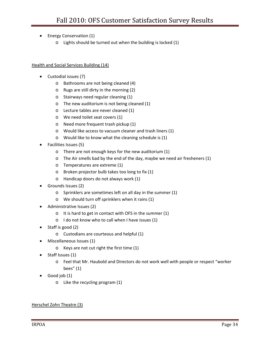- Energy Conservation (1)
	- o Lights should be turned out when the building is locked (1)

#### Health and Social Services Building (14)

- Custodial issues (7)
	- o Bathrooms are not being cleaned (4)
	- o Rugs are still dirty in the morning (2)
	- o Stairways need regular cleaning (1)
	- o The new auditorium is not being cleaned (1)
	- o Lecture tables are never cleaned (1)
	- o We need toilet seat covers (1)
	- o Need more frequent trash pickup (1)
	- o Would like access to vacuum cleaner and trash liners (1)
	- o Would like to know what the cleaning schedule is (1)
- Facilities Issues (5)
	- o There are not enough keys for the new auditorium (1)
	- o The Air smells bad by the end of the day, maybe we need air fresheners (1)
	- o Temperatures are extreme (1)
	- o Broken projector bulb takes too long to fix (1)
	- o Handicap doors do not always work (1)
- Grounds Issues (2)
	- o Sprinklers are sometimes left on all day in the summer (1)
	- o We should turn off sprinklers when it rains (1)
- Administrative Issues (2)
	- o It is hard to get in contact with OFS in the summer (1)
	- o I do not know who to call when I have issues (1)
- Staff is good (2)
	- o Custodians are courteous and helpful (1)
- Miscellaneous Issues (1)
	- o Keys are not cut right the first time (1)
- Staff Issues (1)
	- o Feel that Mr. Haubold and Directors do not work well with people or respect "worker bees" (1)
- Good job (1)
	- o Like the recycling program (1)

#### Herschel Zohn Theatre (3)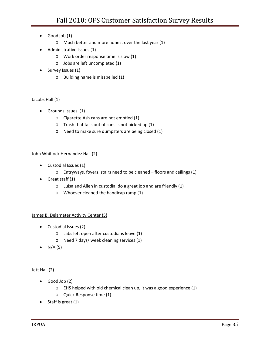- Good job (1)
	- o Much better and more honest over the last year (1)
- Administrative Issues (1)
	- o Work order response time is slow (1)
	- o Jobs are left uncompleted (1)
- Survey Issues (1)
	- o Building name is misspelled (1)

#### Jacobs Hall (1)

- Grounds Issues (1)
	- o Cigarette Ash cans are not emptied (1)
	- o Trash that falls out of cans is not picked up (1)
	- o Need to make sure dumpsters are being closed (1)

#### John Whitlock Hernandez Hall (2)

- Custodial Issues (1)
	- o Entryways, foyers, stairs need to be cleaned floors and ceilings (1)
- Great staff (1)
	- o Luisa and Allen in custodial do a great job and are friendly (1)
	- o Whoever cleaned the handicap ramp (1)

#### James B. Delamater Activity Center (5)

- Custodial Issues (2)
	- o Labs left open after custodians leave (1)
	- o Need 7 days/ week cleaning services (1)
- $N/A (5)$

#### Jett Hall (2)

- Good Job (2)
	- o EHS helped with old chemical clean up, it was a good experience (1)
	- o Quick Response time (1)
- Staff is great (1)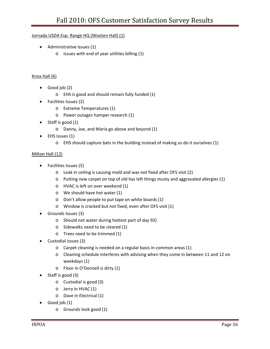#### Jornada USDA Exp. Range HQ (Wooten Hall) (1)

- Administrative Issues (1)
	- o Issues with end of year utilities billing (1)

#### Knox Hall (6)

- Good job (2)
	- o EHS is good and should remain fully funded (1)
- Facilities Issues (2)
	- o Extreme Temperatures (1)
	- o Power outages hamper research (1)
- Staff is good (1)
	- o Danny, Joe, and Maria go above and beyond (1)
- EHS issues (1)
	- o EHS should capture bats in the building instead of making us do it ourselves (1)

#### Milton Hall (12)

- Facilities Issues (5)
	- o Leak in ceiling is causing mold and was not fixed after OFS visit (2)
	- o Putting new carpet on top of old has left things musty and aggravated allergies (1)
	- o HVAC is left on over weekend (1)
	- o We should have hot water (1)
	- o Don't allow people to put tape on white boards (1)
	- o Window is cracked but not fixed, even after OFS visit (1)
- Grounds Issues (3)
	- o Should not water during hottest part of day 92)
	- o Sidewalks need to be cleared (1)
	- o Trees need to be trimmed (1)
- Custodial issues (3)
	- o Carpet cleaning is needed on a regular basis in common areas (1)
	- o Cleaning schedule interferes with advising when they come in between 11 and 12 on weekdays (1)
	- o Floor in O'Donnell is dirty (1)
- Staff is good (3)
	- o Custodial is good (3)
	- o Jerry in HVAC (1)
	- o Dave in Electrical (1)
- Good job (1)
	- o Grounds look good (1)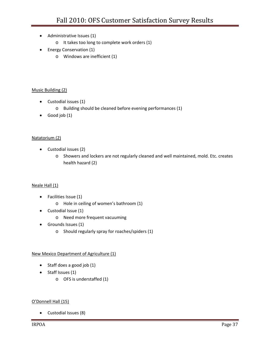- Administrative Issues (1)
	- o It takes too long to complete work orders (1)
- Energy Conservation (1)
	- o Windows are inefficient (1)

#### Music Building (2)

- Custodial issues (1)
	- o Building should be cleaned before evening performances (1)
- Good job (1)

#### Natatorium (2)

- Custodial issues (2)
	- o Showers and lockers are not regularly cleaned and well maintained, mold. Etc. creates health hazard (2)

#### Neale Hall (1)

- Facilities Issue (1)
	- o Hole in ceiling of women's bathroom (1)
- Custodial Issue (1)
	- o Need more frequent vacuuming
- Grounds Issues (1)
	- o Should regularly spray for roaches/spiders (1)

#### New Mexico Department of Agriculture (1)

- Staff does a good job (1)
- Staff Issues (1)
	- o OFS is understaffed (1)

#### O'Donnell Hall (15)

• Custodial Issues (8)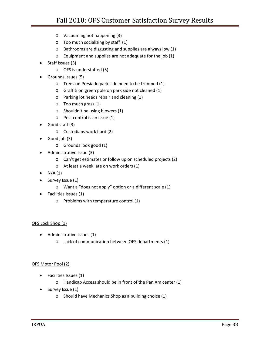- o Vacuuming not happening (3)
- o Too much socializing by staff (1)
- o Bathrooms are disgusting and supplies are always low (1)
- o Equipment and supplies are not adequate for the job (1)
- Staff Issues (5)
	- o OFS is understaffed (5)
- Grounds Issues (5)
	- o Trees on Presiado park side need to be trimmed (1)
	- o Graffiti on green pole on park side not cleaned (1)
	- o Parking lot needs repair and cleaning (1)
	- o Too much grass (1)
	- o Shouldn't be using blowers (1)
	- o Pest control is an issue (1)
- Good staff (3)
	- o Custodians work hard (2)
- Good job (3)
	- o Grounds look good (1)
- Administrative Issue (3)
	- o Can't get estimates or follow up on scheduled projects (2)
	- o At least a week late on work orders (1)
- $N/A(1)$
- Survey Issue (1)
	- o Want a "does not apply" option or a different scale (1)
- Facilities Issues (1)
	- o Problems with temperature control (1)

#### OFS Lock Shop (1)

- Administrative Issues (1)
	- o Lack of communication between OFS departments (1)

#### OFS Motor Pool (2)

- Facilities Issues (1)
	- o Handicap Access should be in front of the Pan Am center (1)
- Survey Issue (1)
	- o Should have Mechanics Shop as a building choice (1)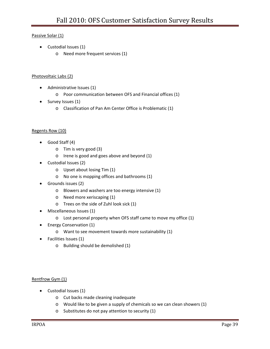#### Passive Solar (1)

- Custodial Issues (1)
	- o Need more frequent services (1)

#### Photovoltaic Labs (2)

- Administrative Issues (1)
	- o Poor communication between OFS and Financial offices (1)
- Survey Issues (1)
	- o Classification of Pan Am Center Office is Problematic (1)

#### Regents Row (10)

- Good Staff (4)
	- o Tim is very good (3)
	- o Irene is good and goes above and beyond (1)
- Custodial Issues (2)
	- o Upset about losing Tim (1)
	- o No one is mopping offices and bathrooms (1)
- Grounds issues (2)
	- o Blowers and washers are too energy intensive (1)
	- o Need more xeriscaping (1)
	- o Trees on the side of Zuhl look sick (1)
- Miscellaneous Issues (1)
	- o Lost personal property when OFS staff came to move my office (1)
- Energy Conservation (1)
	- o Want to see movement towards more sustainability (1)
- Facilities Issues (1)
	- o Building should be demolished (1)

#### Rentfrow Gym (1)

- Custodial Issues (1)
	- o Cut backs made cleaning inadequate
	- o Would like to be given a supply of chemicals so we can clean showers (1)
	- o Substitutes do not pay attention to security (1)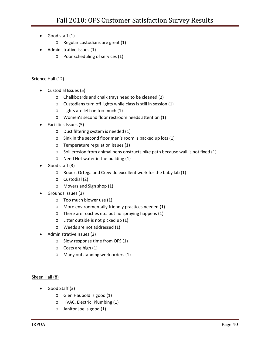- Good staff (1)
	- o Regular custodians are great (1)
- Administrative Issues (1)
	- o Poor scheduling of services (1)

#### Science Hall (12)

- Custodial Issues (5)
	- o Chalkboards and chalk trays need to be cleaned (2)
	- o Custodians turn off lights while class is still in session (1)
	- o Lights are left on too much (1)
	- o Women's second floor restroom needs attention (1)
- Facilities Issues (5)
	- o Dust filtering system is needed (1)
	- o Sink in the second floor men's room is backed up lots (1)
	- o Temperature regulation issues (1)
	- o Soil erosion from animal pens obstructs bike path because wall is not fixed (1)
	- o Need Hot water in the building (1)
- Good staff (3)
	- o Robert Ortega and Crew do excellent work for the baby lab (1)
	- o Custodial (2)
	- o Movers and Sign shop (1)
- Grounds Issues (3)
	- o Too much blower use (1)
	- o More environmentally friendly practices needed (1)
	- o There are roaches etc. but no spraying happens (1)
	- o Litter outside is not picked up (1)
	- o Weeds are not addressed (1)
- Administrative Issues (2)
	- o Slow response time from OFS (1)
	- o Costs are high (1)
	- o Many outstanding work orders (1)

#### Skeen Hall (8)

- Good Staff (3)
	- o Glen Haubold is good (1)
	- o HVAC, Electric, Plumbing (1)
	- o Janitor Joe is good (1)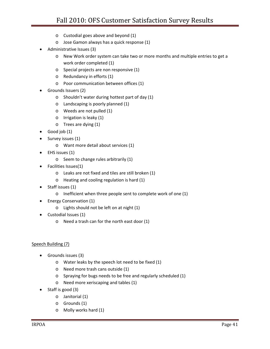- o Custodial goes above and beyond (1)
- o Jose Gamon always has a quick response (1)
- Administrative Issues (3)
	- o New Work order system can take two or more months and multiple entries to get a work order completed (1)
	- o Special projects are non responsive (1)
	- o Redundancy in efforts (1)
	- o Poor communication between offices (1)
- Grounds Issuers (2)
	- o Shouldn't water during hottest part of day (1)
	- o Landscaping is poorly planned (1)
	- o Weeds are not pulled (1)
	- o Irrigation is leaky (1)
	- o Trees are dying (1)
- Good job (1)
- Survey issues (1)
	- o Want more detail about services (1)
- EHS issues (1)
	- o Seem to change rules arbitrarily (1)
- Facilities Issues(1)
	- o Leaks are not fixed and tiles are still broken (1)
	- o Heating and cooling regulation is hard (1)
- Staff issues (1)
	- o Inefficient when three people sent to complete work of one (1)
- Energy Conservation (1)
	- o Lights should not be left on at night (1)
- Custodial Issues (1)
	- o Need a trash can for the north east door (1)

#### Speech Building (7)

- Grounds issues (3)
	- o Water leaks by the speech lot need to be fixed (1)
	- o Need more trash cans outside (1)
	- o Spraying for bugs needs to be free and regularly scheduled (1)
	- o Need more xeriscaping and tables (1)
- Staff is good (3)
	- o Janitorial (1)
	- o Grounds (1)
	- o Molly works hard (1)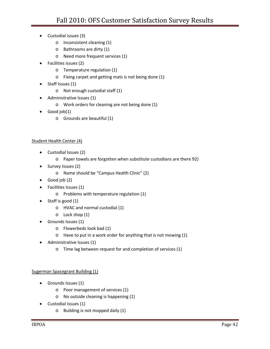- Custodial issues (3)
	- o Inconsistent cleaning (1)
	- o Bathrooms are dirty (1)
	- o Need more frequent services (1)
- Facilities issues (2)
	- o Temperature regulation (1)
	- o Fixing carpet and getting mats is not being done (1)
- Staff Issues (1)
	- o Not enough custodial staff (1)
- Administrative Issues (1)
	- o Work orders for cleaning are not being done (1)
- Good job(1)
	- o Grounds are beautiful (1)

#### Student Health Center (4)

- Custodial Issues (2)
	- o Paper towels are forgotten when substitute custodians are there 92)
- Survey Issues (2)
	- o Name should be "Campus Health Clinic" (2)
- Good job (2)
- Facilities Issues (1)
	- o Problems with temperature regulation (1)
- Staff is good (1)
	- o HVAC and normal custodial (1)
	- o Lock shop (1)
- Grounds Issues (1)
	- o Flowerbeds look bad (1)
	- o Have to put in a work order for anything that is not mowing (1)
- Administrative Issues (1)
	- o Time lag between request for and completion of services (1)

#### Sugerman Spacegrant Building (1)

- Grounds Issues (1)
	- o Poor management of services (1)
	- o No outside cleaning is happening (1)
- Custodial Issues (1)
	- o Building is not mopped daily (1)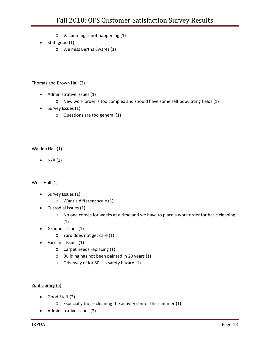- o Vacuuming is not happening (1)
- Staff good (1)
	- o We miss Bertha Swarez (1)

#### Thomas and Brown Hall (2)

- Administrative Issues (1)
	- o New work order is too complex and should have some self populating fields (1)
- Survey Issues (1)
	- o Questions are too general (1)

#### Walden Hall (1)

•  $N/A (1)$ 

#### Wells Hall (1)

- Survey Issues (1)
	- o Want a different scale (1)
- Custodial Issues (1)
	- o No one comes for weeks at a time and we have to place a work order for basic cleaning (1)
- Grounds Issues (1)
	- o Yard does not get care (1)
- Facilities Issues (1)
	- o Carpet needs replacing (1)
	- o Building has not been painted in 20 years (1)
	- o Driveway of lot 80 is a safety hazard (1)

#### Zuhl Library (5)

- Good Staff (2)
	- o Especially those cleaning the activity center this summer (1)
- Administrative Issues (2)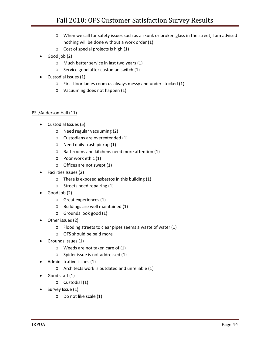- o When we call for safety issues such as a skunk or broken glass in the street, I am advised nothing will be done without a work order (1)
- o Cost of special projects is high (1)
- Good job (2)
	- o Much better service in last two years (1)
	- o Service good after custodian switch (1)
- Custodial Issues (1)
	- o First floor ladies room us always messy and under stocked (1)
	- o Vacuuming does not happen (1)

#### PSL/Anderson Hall (11)

- Custodial Issues (5)
	- o Need regular vacuuming (2)
	- o Custodians are overextended (1)
	- o Need daily trash pickup (1)
	- o Bathrooms and kitchens need more attention (1)
	- o Poor work ethic (1)
	- o Offices are not swept (1)
- Facilities Issues (2)
	- o There is exposed asbestos in this building (1)
	- o Streets need repairing (1)
- Good job (2)
	- o Great experiences (1)
	- o Buildings are well maintained (1)
	- o Grounds look good (1)
- Other issues (2)
	- o Flooding streets to clear pipes seems a waste of water (1)
	- o OFS should be paid more
- Grounds Issues (1)
	- o Weeds are not taken care of (1)
	- o Spider issue is not addressed (1)
- Administrative issues (1)
	- o Architects work is outdated and unreliable (1)
- Good staff (1)
	- o Custodial (1)
- Survey Issue (1)
	- o Do not like scale (1)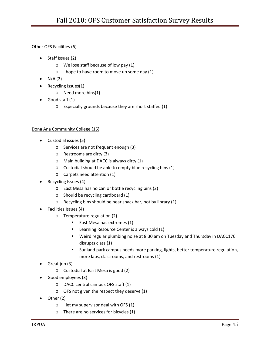#### Other OFS Facilities (6)

- Staff Issues (2)
	- o We lose staff because of low pay (1)
	- o I hope to have room to move up some day (1)
- $\bullet$  N/A(2)
- Recycling Issues(1)
	- o Need more bins(1)
- Good staff (1)
	- o Especially grounds because they are short staffed (1)

#### Dona Ana Community College (15)

- Custodial issues (5)
	- o Services are not frequent enough (3)
	- o Restrooms are dirty (3)
	- o Main building at DACC is always dirty (1)
	- o Custodial should be able to empty blue recycling bins (1)
	- o Carpets need attention (1)
- Recycling Issues (4)
	- o East Mesa has no can or bottle recycling bins (2)
	- o Should be recycling cardboard (1)
	- o Recycling bins should be near snack bar, not by library (1)
- Facilities Issues (4)
	- o Temperature regulation (2)
		- East Mesa has extremes (1)
		- **E** Learning Resource Center is always cold (1)
		- Weird regular plumbing noise at 8:30 am on Tuesday and Thursday in DACC176 disrupts class (1)
		- Sunland park campus needs more parking, lights, better temperature regulation, more labs, classrooms, and restrooms (1)
- Great job (3)
	- o Custodial at East Mesa is good (2)
- Good employees (3)
	- o DACC central campus OFS staff (1)
	- o OFS not given the respect they deserve (1)
- Other (2)
	- o I let my supervisor deal with OFS (1)
	- o There are no services for bicycles (1)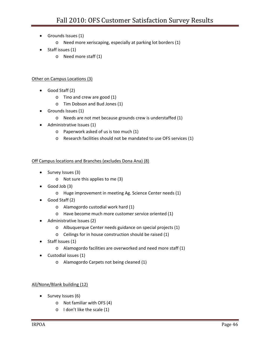- Grounds Issues (1)
	- o Need more xeriscaping, especially at parking lot borders (1)
- Staff issues (1)
	- o Need more staff (1)

#### Other on Campus Locations (3)

- Good Staff (2)
	- o Tino and crew are good (1)
	- o Tim Dobson and Bud Jones (1)
- Grounds Issues (1)
	- o Needs are not met because grounds crew is understaffed (1)
- Administrative Issues (1)
	- o Paperwork asked of us is too much (1)
	- o Research facilities should not be mandated to use OFS services (1)

#### Off Campus locations and Branches (excludes Dona Ana) (8)

- Survey Issues (3)
	- o Not sure this applies to me (3)
- Good Job (3)
	- o Huge improvement in meeting Ag. Science Center needs (1)
- Good Staff (2)
	- o Alamogordo custodial work hard (1)
	- o Have become much more customer service oriented (1)
- Administrative Issues (2)
	- o Albuquerque Center needs guidance on special projects (1)
	- o Ceilings for in house construction should be raised (1)
- Staff Issues (1)
	- o Alamogordo facilities are overworked and need more staff (1)
- Custodial issues (1)
	- o Alamogordo Carpets not being cleaned (1)

#### All/None/Blank building (12)

- Survey Issues (6)
	- o Not familiar with OFS (4)
	- o I don't like the scale (1)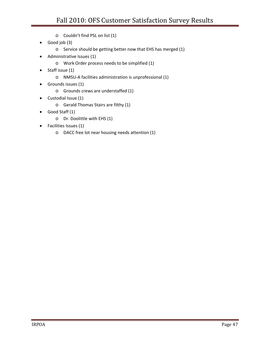- o Couldn't find PSL on list (1)
- Good job (3)
	- o Service should be getting better now that EHS has merged (1)
- Administrative Issues (1)
	- o Work Order process needs to be simplified (1)
- Staff issue (1)
	- o NMSU‐A facilities administration is unprofessional (1)
- Grounds issues (1)
	- o Grounds crews are understaffed (1)
- Custodial Issue (1)
	- o Gerald Thomas Stairs are filthy (1)
- Good Staff (1)
	- o Dr. Doolittle with EHS (1)
- Facilities Issues (1)
	- o DACC free lot near housing needs attention (1)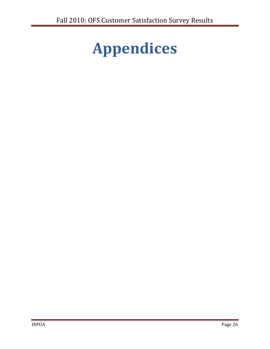# **Appendices**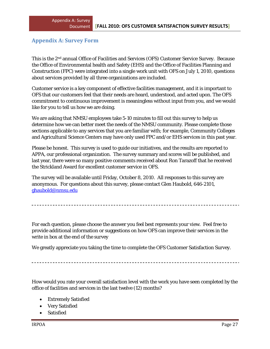## **Appendix A: Survey Form**

This is the 2nd annual Office of Facilities and Services (OFS) Customer Service Survey. Because the Office of Environmental health and Safety (EHS) and the Office of Facilities Planning and Construction (FPC) were integrated into a single work unit with OFS on July 1, 2010, questions about services provided by all three organizations are included.

Customer service is a key component of effective facilities management, and it is important to OFS that our customers feel that their needs are heard, understood, and acted upon. The OFS commitment to continuous improvement is meaningless without input from you, and we would like for you to tell us how we are doing.

We are asking that NMSU employees take 5-10 minutes to fill out this survey to help us determine how we can better meet the needs of the NMSU community. Please complete those sections applicable to any services that you are familiar with; for example, Community Colleges and Agricultural Science Centers may have only used FPC and/or EHS services in this past year.

Please be honest. This survey is used to guide our initiatives, and the results are reported to APPA, our professional organization. The survey summary and scores will be published, and last year, there were so many positive comments received about Ron Tarazoff that he received the Strickland Award for excellent customer service in OFS.

The survey will be available until Friday, October 8, 2010. All responses to this survey are anonymous. For questions about this survey, please contact Glen Haubold, 646-2101, ghaubold@nmsu.edu

For each question, please choose the answer you feel best represents your view. Feel free to provide additional information or suggestions on how OFS can improve their services in the write in box at the end of the survey

We greatly appreciate you taking the time to complete the OFS Customer Satisfaction Survey.

How would you rate your overall satisfaction level with the work you have seen completed by the office of facilities and services in the last twelve (12) months?

- Extremely Satisfied
- Very Satisfied
- **Satisfied**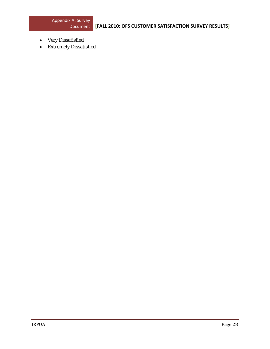- Very Dissatisfied
- Extremely Dissatisfied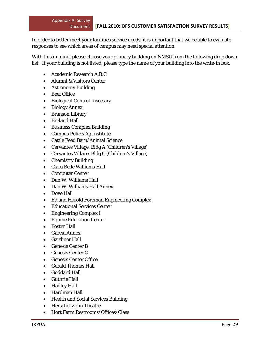In order to better meet your facilities service needs, it is important that we be able to evaluate responses to see which areas of campus may need special attention.

With this in mind, please choose your primary building on NMSU from the following drop down list. If your building is not listed, please type the name of your building into the write-in box.

- Academic Research A,B,C
- Alumni & Visitors Center
- Astronomy Building
- Beef Office
- Biological Control Insectary
- Biology Annex
- Branson Library
- Breland Hall
- Business Complex Building
- Campus Police/Ag Institute
- Cattle Feed Barn/Animal Science
- Cervantes Village, Bldg A (Children's Village)
- Cervantes Village, Bldg C (Children's Village)
- Chemistry Building
- Clara Belle Williams Hall
- Computer Center
- Dan W. Williams Hall
- Dan W. Williams Hall Annex
- Dove Hall
- Ed and Harold Foreman Engineering Complex
- Educational Services Center
- Engineering Complex I
- Equine Education Center
- Foster Hall
- Garcia Annex
- Gardiner Hall
- Genesis Center B
- Genesis Center C
- Genesis Center Office
- Gerald Thomas Hall
- Goddard Hall
- Guthrie Hall
- Hadley Hall
- Hardman Hall
- Health and Social Services Building
- Herschel Zohn Theatre
- Hort Farm Restrooms/Offices/Class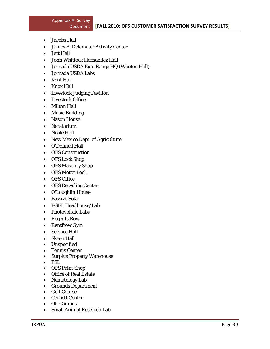- Jacobs Hall
- James B. Delamater Activity Center
- Jett Hall
- John Whitlock Hernandez Hall
- Jornada USDA Exp. Range HQ (Wooten Hall)
- Jornada USDA Labs
- Kent Hall
- Knox Hall
- Livestock Judging Pavilion
- Livestock Office
- Milton Hall
- Music Building
- Nason House
- Natatorium
- Neale Hall
- New Mexico Dept. of Agriculture
- O'Donnell Hall
- OFS Construction
- OFS Lock Shop
- OFS Masonry Shop
- OFS Motor Pool
- OFS Office
- OFS Recycling Center
- O'Loughlin House
- Passive Solar
- PGEL Headhouse/Lab
- Photovoltaic Labs
- Regents Row
- Rentfrow Gym
- Science Hall
- Skeen Hall
- Unspecified
- Tennis Center
- Surplus Property Warehouse
- PSL
- OFS Paint Shop
- Office of Real Estate
- Nematology Lab
- Grounds Department
- Golf Course
- Corbett Center
- Off Campus
- Small Animal Research Lab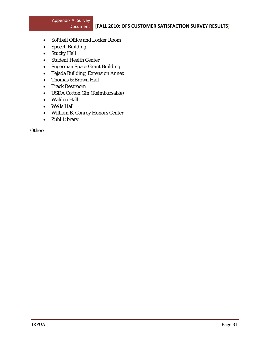- Softball Office and Locker Room
- Speech Building
- Stucky Hall
- Student Health Center
- Sugerman Space Grant Building
- Tejada Building, Extension Annex
- Thomas & Brown Hall
- Track Restroom
- USDA Cotton Gin (Reimbursable)
- Walden Hall
- Wells Hall
- William B. Conroy Honors Center
- Zuhl Library

Other: \_\_\_\_\_\_\_\_\_\_\_\_\_\_\_\_\_\_\_\_\_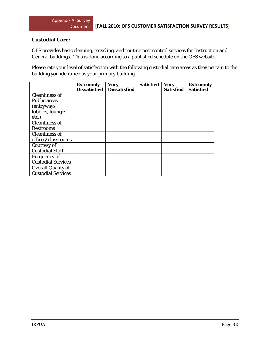### **Custodial Care:**

OFS provides basic cleaning, recycling, and routine pest control services for Instruction and General buildings. This is done according to a published schedule on the OFS website.

Please rate your level of satisfaction with the following custodial care areas as they pertain to the building you identified as your primary building

|                           | <b>Extremely</b>    | Very                | Satisfied | <b>Very</b>      | <b>Extremely</b> |
|---------------------------|---------------------|---------------------|-----------|------------------|------------------|
|                           | <b>Dissatisfied</b> | <b>Dissatisfied</b> |           | <b>Satisfied</b> | <b>Satisfied</b> |
| <b>Cleanliness of</b>     |                     |                     |           |                  |                  |
| <b>Public areas</b>       |                     |                     |           |                  |                  |
| (entryways,               |                     |                     |           |                  |                  |
| lobbies, lounges          |                     |                     |           |                  |                  |
| etc.)                     |                     |                     |           |                  |                  |
| <b>Cleanliness of</b>     |                     |                     |           |                  |                  |
| <b>Restrooms</b>          |                     |                     |           |                  |                  |
| <b>Cleanliness of</b>     |                     |                     |           |                  |                  |
| offices/classrooms        |                     |                     |           |                  |                  |
| Courtesy of               |                     |                     |           |                  |                  |
| <b>Custodial Staff</b>    |                     |                     |           |                  |                  |
| <b>Frequency of</b>       |                     |                     |           |                  |                  |
| <b>Custodial Services</b> |                     |                     |           |                  |                  |
| <b>Overall Quality of</b> |                     |                     |           |                  |                  |
| <b>Custodial Services</b> |                     |                     |           |                  |                  |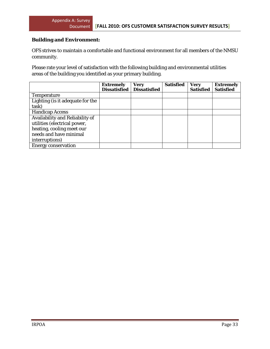## **Building and Environment:**

OFS strives to maintain a comfortable and functional environment for all members of the NMSU community.

Please rate your level of satisfaction with the following building and environmental utilities areas of the building you identified as your primary building.

|                                  | <b>Extremely</b><br><b>Dissatisfied</b> | <b>Very</b><br><b>Dissatisfied</b> | <b>Satisfied</b> | <b>Very</b><br><b>Satisfied</b> | <b>Extremely</b><br><b>Satisfied</b> |
|----------------------------------|-----------------------------------------|------------------------------------|------------------|---------------------------------|--------------------------------------|
| <b>Temperature</b>               |                                         |                                    |                  |                                 |                                      |
| Lighting (is it adequate for the |                                         |                                    |                  |                                 |                                      |
| task)                            |                                         |                                    |                  |                                 |                                      |
| <b>Handicap Access</b>           |                                         |                                    |                  |                                 |                                      |
| Availability and Reliability of  |                                         |                                    |                  |                                 |                                      |
| utilities (electrical power,     |                                         |                                    |                  |                                 |                                      |
| heating, cooling meet our        |                                         |                                    |                  |                                 |                                      |
| needs and have minimal           |                                         |                                    |                  |                                 |                                      |
| interruptions)                   |                                         |                                    |                  |                                 |                                      |
| <b>Energy conservation</b>       |                                         |                                    |                  |                                 |                                      |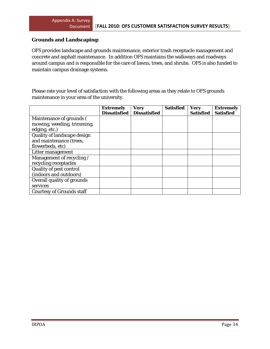#### **Grounds and Landscaping:**

OFS provides landscape and grounds maintenance, exterior trash receptacle management and concrete and asphalt maintenance. In addition OFS maintains the walkways and roadways around campus and is responsible for the care of lawns, trees, and shrubs. OFS is also funded to maintain campus drainage systems.

Please rate your level of satisfaction with the following areas as they relate to OFS grounds maintenance in your area of the university.

|                                  | <b>Extremely</b><br><b>Dissatisfied</b> | <b>Very</b><br><b>Dissatisfied</b> | <b>Satisfied</b> | <b>Very</b><br><b>Satisfied</b> | <b>Extremely</b><br><b>Satisfied</b> |
|----------------------------------|-----------------------------------------|------------------------------------|------------------|---------------------------------|--------------------------------------|
| Maintenance of grounds (         |                                         |                                    |                  |                                 |                                      |
| mowing, weeding, trimming,       |                                         |                                    |                  |                                 |                                      |
|                                  |                                         |                                    |                  |                                 |                                      |
| edging, etc.)                    |                                         |                                    |                  |                                 |                                      |
| Quality of landscape design      |                                         |                                    |                  |                                 |                                      |
| and maintenance (trees,          |                                         |                                    |                  |                                 |                                      |
| flowerbeds, etc)                 |                                         |                                    |                  |                                 |                                      |
| Litter management                |                                         |                                    |                  |                                 |                                      |
| Management of recycling /        |                                         |                                    |                  |                                 |                                      |
| recycling receptacles            |                                         |                                    |                  |                                 |                                      |
| Quality of pest control          |                                         |                                    |                  |                                 |                                      |
| (indoors and outdoors)           |                                         |                                    |                  |                                 |                                      |
| Overall quality of grounds       |                                         |                                    |                  |                                 |                                      |
| services                         |                                         |                                    |                  |                                 |                                      |
| <b>Courtesy of Grounds staff</b> |                                         |                                    |                  |                                 |                                      |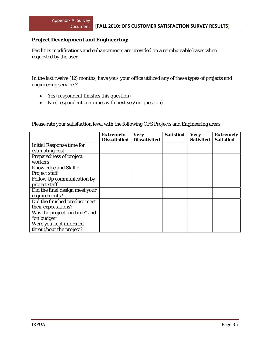#### **Project Development and Engineering:**

Facilities modifications and enhancements are provided on a reimbursable bases when requested by the user.

In the last twelve (12) months, have you/ your office utilized any of these types of projects and engineering services?

- Yes (respondent finishes this question)
- No ( respondent continues with next yes/no question)

Please rate your satisfaction level with the following OFS Projects and Engineering areas.

|                                  | <b>Extremely</b><br><b>Dissatisfied</b> | <b>Very</b><br><b>Dissatisfied</b> | <b>Satisfied</b> | <b>Very</b><br><b>Satisfied</b> | <b>Extremely</b><br><b>Satisfied</b> |
|----------------------------------|-----------------------------------------|------------------------------------|------------------|---------------------------------|--------------------------------------|
| <b>Initial Response time for</b> |                                         |                                    |                  |                                 |                                      |
| estimating cost                  |                                         |                                    |                  |                                 |                                      |
| Preparedness of project          |                                         |                                    |                  |                                 |                                      |
| workers                          |                                         |                                    |                  |                                 |                                      |
| Knowledge and Skill of           |                                         |                                    |                  |                                 |                                      |
| <b>Project staff</b>             |                                         |                                    |                  |                                 |                                      |
| Follow Up communication by       |                                         |                                    |                  |                                 |                                      |
| project staff                    |                                         |                                    |                  |                                 |                                      |
| Did the final design meet your   |                                         |                                    |                  |                                 |                                      |
| requirements?                    |                                         |                                    |                  |                                 |                                      |
| Did the finished product meet    |                                         |                                    |                  |                                 |                                      |
| their expectations?              |                                         |                                    |                  |                                 |                                      |
| Was the project "on time" and    |                                         |                                    |                  |                                 |                                      |
| "on budget"                      |                                         |                                    |                  |                                 |                                      |
| Were you kept informed           |                                         |                                    |                  |                                 |                                      |
| throughout the project?          |                                         |                                    |                  |                                 |                                      |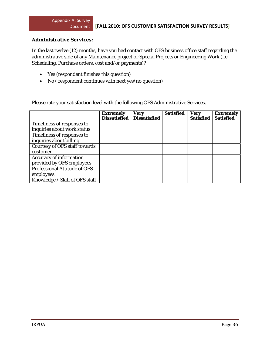#### **Administrative Services:**

In the last twelve (12) months, have you had contact with OFS business office staff regarding the administrative side of any Maintenance project or Special Projects or Engineering Work (i.e. Scheduling, Purchase orders, cost and/or payments)?

- Yes (respondent finishes this question)
- No ( respondent continues with next yes/no question)

Please rate your satisfaction level with the following OFS Administrative Services.

|                                      | <b>Extremely</b><br><b>Dissatisfied</b> | <b>Very</b><br><b>Dissatisfied</b> | <b>Satisfied</b> | <b>Very</b><br><b>Satisfied</b> | <b>Extremely</b><br><b>Satisfied</b> |
|--------------------------------------|-----------------------------------------|------------------------------------|------------------|---------------------------------|--------------------------------------|
| Timeliness of responses to           |                                         |                                    |                  |                                 |                                      |
| inquiries about work status          |                                         |                                    |                  |                                 |                                      |
| Timeliness of responses to           |                                         |                                    |                  |                                 |                                      |
| inquiries about billing              |                                         |                                    |                  |                                 |                                      |
| <b>Courtesy of OFS staff towards</b> |                                         |                                    |                  |                                 |                                      |
| customer                             |                                         |                                    |                  |                                 |                                      |
| <b>Accuracy of information</b>       |                                         |                                    |                  |                                 |                                      |
| provided by OFS employees            |                                         |                                    |                  |                                 |                                      |
| <b>Professional Attitude of OFS</b>  |                                         |                                    |                  |                                 |                                      |
| employees                            |                                         |                                    |                  |                                 |                                      |
| Knowledge / Skill of OFS staff       |                                         |                                    |                  |                                 |                                      |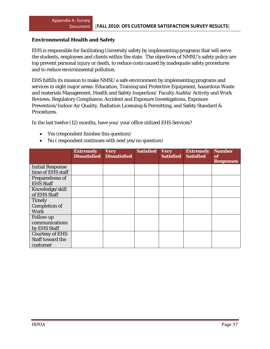#### **Environmental Health and Safety**

EHS is responsible for facilitating University safety by implementing programs that will serve the students, employees and clients within the state. The objectives of NMSU's safety policy are top prevent personal injury or death, to reduce costs caused by inadequate safety procedures and to reduce environmental pollution.

EHS fulfills its mission to make NMSU a safe environment by implementing programs and services in eight major areas: Education, Training and Protective Equipment, hazardous Waste and materials Management, Health and Safety Inspection/ Faculty Audits/ Activity and Work Reviews, Regulatory Compliance, Accident and Exposure Investigations, Exposure Prevention/Indoor Air Quality, Radiation Licensing & Permitting, and Safety Standard & Procedures.

In the last twelve (12) months, have you/ your office utilized EHS Services?

- Yes (respondent finishes this question)
- No ( respondent continues with next yes/no question)

|                         | <b>Extremely</b><br><b>Dissatisfied</b> | <b>Very</b><br><b>Dissatisfied</b> | <b>Satisfied</b> | <b>Very</b><br><b>Satisfied</b> | <b>Extremely</b><br><b>Satisfied</b> | <b>Number</b><br>of<br><b>Responses</b> |
|-------------------------|-----------------------------------------|------------------------------------|------------------|---------------------------------|--------------------------------------|-----------------------------------------|
| <b>Initial Response</b> |                                         |                                    |                  |                                 |                                      |                                         |
| time of EHS staff       |                                         |                                    |                  |                                 |                                      |                                         |
| Preparedness of         |                                         |                                    |                  |                                 |                                      |                                         |
| <b>EHS Staff</b>        |                                         |                                    |                  |                                 |                                      |                                         |
| Knowledge/skill         |                                         |                                    |                  |                                 |                                      |                                         |
| of EHS Staff            |                                         |                                    |                  |                                 |                                      |                                         |
| <b>Timely</b>           |                                         |                                    |                  |                                 |                                      |                                         |
| <b>Completion of</b>    |                                         |                                    |                  |                                 |                                      |                                         |
| <b>Work</b>             |                                         |                                    |                  |                                 |                                      |                                         |
| <b>Follow-up</b>        |                                         |                                    |                  |                                 |                                      |                                         |
| communications          |                                         |                                    |                  |                                 |                                      |                                         |
| by EHS Staff            |                                         |                                    |                  |                                 |                                      |                                         |
| <b>Courtesy of EHS</b>  |                                         |                                    |                  |                                 |                                      |                                         |
| Staff toward the        |                                         |                                    |                  |                                 |                                      |                                         |
| customer                |                                         |                                    |                  |                                 |                                      |                                         |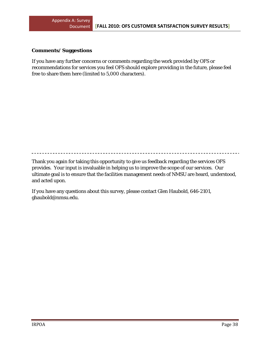#### **Comments/ Suggestions**

If you have any further concerns or comments regarding the work provided by OFS or recommendations for services you feel OFS should explore providing in the future, please feel free to share them here (limited to 5,000 characters).

Thank you again for taking this opportunity to give us feedback regarding the services OFS provides. Your input is invaluable in helping us to improve the scope of our services. Our ultimate goal is to ensure that the facilities management needs of NMSU are heard, understood, and acted upon.

If you have any questions about this survey, please contact Glen Haubold, 646-2101, ghaubold@nmsu.edu.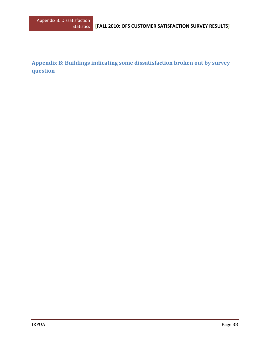**Appendix B: Buildings indicating some dissatisfaction broken out by survey question**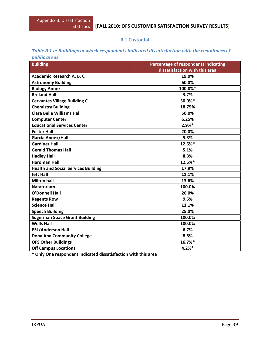#### **B.1 Custodial**

#### *Table B.1.a: Buildings in which respondents indicated dissatisfaction with the cleanliness of public areas*

| <b>Building</b>                            | Percentage of respondents indicating |  |  |  |  |
|--------------------------------------------|--------------------------------------|--|--|--|--|
|                                            | dissatisfaction with this area       |  |  |  |  |
| Academic Research A, B, C                  | 19.0%                                |  |  |  |  |
| <b>Astronomy Building</b>                  | 60.0%                                |  |  |  |  |
| <b>Biology Annex</b>                       | 100.0%*                              |  |  |  |  |
| <b>Breland Hall</b>                        | 3.7%                                 |  |  |  |  |
| <b>Cervantes Village Building C</b>        | 50.0%*                               |  |  |  |  |
| <b>Chemistry Building</b>                  | 18.75%                               |  |  |  |  |
| <b>Clara Belle Williams Hall</b>           | 50.0%                                |  |  |  |  |
| <b>Computer Center</b>                     | 6.25%                                |  |  |  |  |
| <b>Educational Services Center</b>         | $2.9%$ *                             |  |  |  |  |
| <b>Foster Hall</b>                         | 20.0%                                |  |  |  |  |
| Garcia Annex/Hall                          | 5.3%                                 |  |  |  |  |
| <b>Gardiner Hall</b>                       | 12.5%*                               |  |  |  |  |
| <b>Gerald Thomas Hall</b>                  | 5.1%                                 |  |  |  |  |
| <b>Hadley Hall</b>                         | 8.3%                                 |  |  |  |  |
| <b>Hardman Hall</b>                        | 12.5%*                               |  |  |  |  |
| <b>Health and Social Services Building</b> | 17.9%                                |  |  |  |  |
| <b>Jett Hall</b>                           | 11.1%                                |  |  |  |  |
| <b>Milton hall</b>                         | 13.6%                                |  |  |  |  |
| <b>Natatorium</b>                          | 100.0%                               |  |  |  |  |
| <b>O'Donnell Hall</b>                      | 20.0%                                |  |  |  |  |
| <b>Regents Row</b>                         | 9.5%                                 |  |  |  |  |
| <b>Science Hall</b>                        | 11.1%                                |  |  |  |  |
| <b>Speech Building</b>                     | 25.0%                                |  |  |  |  |
| <b>Sugerman Space Grant Building</b>       | 100.0%                               |  |  |  |  |
| <b>Wells Hall</b>                          | 100.0%                               |  |  |  |  |
| <b>PSL/Anderson Hall</b>                   | 6.7%                                 |  |  |  |  |
| <b>Dona Ana Community College</b>          | 8.8%                                 |  |  |  |  |
| <b>OFS Other Buildings</b>                 | 16.7%*                               |  |  |  |  |
| <b>Off Campus Locations</b>                | 4.2%                                 |  |  |  |  |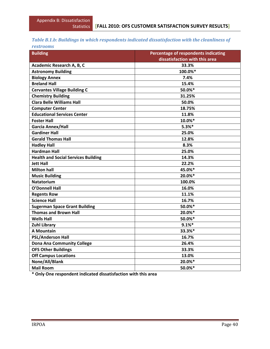## *Table B.1.b: Buildings in which respondents indicated dissatisfaction with the cleanliness of*

| <i>restrooms</i> |
|------------------|
|                  |

| <b>Building</b>                            | Percentage of respondents indicating |
|--------------------------------------------|--------------------------------------|
|                                            | dissatisfaction with this area       |
| Academic Research A, B, C                  | 33.3%                                |
| <b>Astronomy Building</b>                  | 100.0%*                              |
| <b>Biology Annex</b>                       | 7.4%                                 |
| <b>Breland Hall</b>                        | 15.4%                                |
| <b>Cervantes Village Building C</b>        | 50.0%*                               |
| <b>Chemistry Building</b>                  | 31.25%                               |
| Clara Belle Williams Hall                  | 50.0%                                |
| <b>Computer Center</b>                     | 18.75%                               |
| <b>Educational Services Center</b>         | 11.8%                                |
| <b>Foster Hall</b>                         | 10.0%*                               |
| <b>Garcia Annex/Hall</b>                   | $5.3%$ *                             |
| <b>Gardiner Hall</b>                       | 25.0%                                |
| <b>Gerald Thomas Hall</b>                  | 12.8%                                |
| <b>Hadley Hall</b>                         | 8.3%                                 |
| <b>Hardman Hall</b>                        | 25.0%                                |
| <b>Health and Social Services Building</b> | 14.3%                                |
| <b>Jett Hall</b>                           | 22.2%                                |
| <b>Milton hall</b>                         | 45.0%*                               |
| <b>Music Building</b>                      | 20.0%*                               |
| <b>Natatorium</b>                          | 100.0%                               |
| <b>O'Donnell Hall</b>                      | 16.0%                                |
| <b>Regents Row</b>                         | 11.1%                                |
| <b>Science Hall</b>                        | 16.7%                                |
| <b>Sugerman Space Grant Building</b>       | 50.0%*                               |
| <b>Thomas and Brown Hall</b>               | 20.0%*                               |
| <b>Wells Hall</b>                          | 50.0%*                               |
| <b>Zuhl Library</b>                        | 9.1%                                 |
| <b>A Mountain</b>                          | 33.3%*                               |
| <b>PSL/Anderson Hall</b>                   | 16.7%                                |
| <b>Dona Ana Community College</b>          | 26.4%                                |
| <b>OFS Other Buildings</b>                 | 33.3%                                |
| <b>Off Campus Locations</b>                | 13.0%                                |
| None/All/Blank                             | 20.0%*                               |
| <b>Mail Room</b>                           | 50.0%*                               |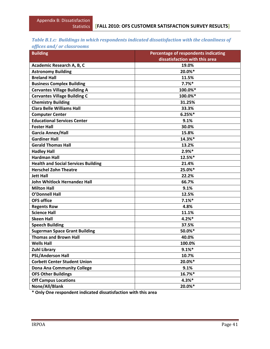#### *Table B.1.c: Buildings in which respondents indicated dissatisfaction with the cleanliness of offices and/ or classrooms*

| offices and or chassivonis                 |                                                                        |
|--------------------------------------------|------------------------------------------------------------------------|
| <b>Building</b>                            | Percentage of respondents indicating<br>dissatisfaction with this area |
| Academic Research A, B, C                  | 19.0%                                                                  |
| <b>Astronomy Building</b>                  | 20.0%*                                                                 |
| <b>Breland Hall</b>                        | 11.5%                                                                  |
| <b>Business Complex Building</b>           | 7.7%                                                                   |
| <b>Cervantes Village Building A</b>        | 100.0%*                                                                |
| <b>Cervantes Village Building C</b>        | 100.0%*                                                                |
| <b>Chemistry Building</b>                  | 31.25%                                                                 |
| <b>Clara Belle Williams Hall</b>           | 33.3%                                                                  |
| <b>Computer Center</b>                     | 6.25%                                                                  |
| <b>Educational Services Center</b>         | 9.1%                                                                   |
| <b>Foster Hall</b>                         | 30.0%                                                                  |
| <b>Garcia Annex/Hall</b>                   | 15.8%                                                                  |
| <b>Gardiner Hall</b>                       | 14.3%*                                                                 |
| <b>Gerald Thomas Hall</b>                  | 13.2%                                                                  |
| <b>Hadley Hall</b>                         | 2.9%*                                                                  |
| <b>Hardman Hall</b>                        | 12.5%*                                                                 |
| <b>Health and Social Services Building</b> | 21.4%                                                                  |
| <b>Herschel Zohn Theatre</b>               | 25.0%*                                                                 |
| <b>Jett Hall</b>                           | 22.2%                                                                  |
| John Whitlock Hernandez Hall               | 66.7%                                                                  |
| <b>Milton Hall</b>                         | 9.1%                                                                   |
| <b>O'Donnell Hall</b>                      | 12.5%                                                                  |
| <b>OFS office</b>                          | 7.1%                                                                   |
| <b>Regents Row</b>                         | 4.8%                                                                   |
| <b>Science Hall</b>                        | 11.1%                                                                  |
| <b>Skeen Hall</b>                          | 4.2%                                                                   |
| <b>Speech Building</b>                     | 37.5%                                                                  |
| <b>Sugerman Space Grant Building</b>       | 50.0%*                                                                 |
| <b>Thomas and Brown Hall</b>               | 40.0%                                                                  |
| <b>Wells Hall</b>                          | 100.0%                                                                 |
| <b>Zuhl Library</b>                        | 9.1%                                                                   |
| <b>PSL/Anderson Hall</b>                   | 10.7%                                                                  |
| <b>Corbett Center Student Union</b>        | 20.0%*                                                                 |
| <b>Dona Ana Community College</b>          | 9.1%                                                                   |
| <b>OFS Other Buildings</b>                 | 16.7%*                                                                 |
| <b>Off Campus Locations</b>                | $4.3%$ *                                                               |
| None/All/Blank                             | 20.0%*                                                                 |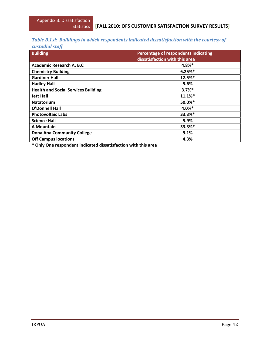## *Table B.1.d: Buildings in which respondents indicated dissatisfaction with the courtesy of*

*custodial staff*

| <b>Building</b>                            | Percentage of respondents indicating<br>dissatisfaction with this area |
|--------------------------------------------|------------------------------------------------------------------------|
| <b>Academic Research A, B,C</b>            | 4.8%*                                                                  |
| <b>Chemistry Building</b>                  | 6.25%                                                                  |
| <b>Gardiner Hall</b>                       | 12.5%*                                                                 |
| <b>Hadley Hall</b>                         | 5.6%                                                                   |
| <b>Health and Social Services Building</b> | $3.7%$ *                                                               |
| <b>Jett Hall</b>                           | 11.1%                                                                  |
| <b>Natatorium</b>                          | 50.0%*                                                                 |
| <b>O'Donnell Hall</b>                      | 4.0%*                                                                  |
| <b>Photovoltaic Labs</b>                   | 33.3%*                                                                 |
| <b>Science Hall</b>                        | 5.9%                                                                   |
| A Mountain                                 | 33.3%*                                                                 |
| <b>Dona Ana Community College</b>          | 9.1%                                                                   |
| <b>Off Campus locations</b>                | 4.3%                                                                   |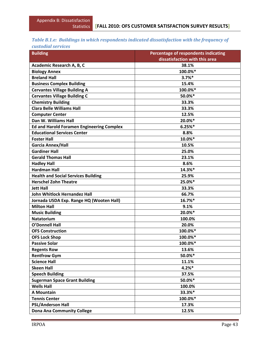# *Table B.1.e: Buildings in which respondents indicated dissatisfaction with the frequency of*

|  | custodial services |  |
|--|--------------------|--|
|  |                    |  |

| <b>Building</b>                                  | <b>Percentage of respondents indicating</b> |  |  |
|--------------------------------------------------|---------------------------------------------|--|--|
|                                                  | dissatisfaction with this area              |  |  |
| Academic Research A, B, C                        | 38.1%                                       |  |  |
| <b>Biology Annex</b>                             | 100.0%*                                     |  |  |
| <b>Breland Hall</b>                              | $3.7%$ *                                    |  |  |
| <b>Business Complex Building</b>                 | 15.4%                                       |  |  |
| <b>Cervantes Village Building A</b>              | 100.0%*                                     |  |  |
| <b>Cervantes Village Building C</b>              | 50.0%*                                      |  |  |
| <b>Chemistry Building</b>                        | 33.3%                                       |  |  |
| <b>Clara Belle Williams Hall</b>                 | 33.3%                                       |  |  |
| <b>Computer Center</b>                           | 12.5%                                       |  |  |
| Dan W. Williams Hall                             | 20.0%*                                      |  |  |
| <b>Ed and Harold Foramen Engineering Complex</b> | 6.25%                                       |  |  |
| <b>Educational Services Center</b>               | 8.8%                                        |  |  |
| <b>Foster Hall</b>                               | 10.0%*                                      |  |  |
| <b>Garcia Annex/Hall</b>                         | 10.5%                                       |  |  |
| <b>Gardiner Hall</b>                             | 25.0%                                       |  |  |
| <b>Gerald Thomas Hall</b>                        | 23.1%                                       |  |  |
| <b>Hadley Hall</b>                               | 8.6%                                        |  |  |
| <b>Hardman Hall</b>                              | 14.3%*                                      |  |  |
| <b>Health and Social Services Building</b>       | 25.9%                                       |  |  |
| <b>Herschel Zohn Theatre</b>                     | 25.0%*                                      |  |  |
| <b>Jett Hall</b>                                 | 33.3%                                       |  |  |
| <b>John Whitlock Hernandez Hall</b>              | 66.7%                                       |  |  |
| Jornada USDA Exp. Range HQ (Wooten Hall)         | 16.7%*                                      |  |  |
| <b>Milton Hall</b>                               | 9.1%                                        |  |  |
| <b>Music Building</b>                            | 20.0%*                                      |  |  |
| <b>Natatorium</b>                                | 100.0%                                      |  |  |
| <b>O'Donnell Hall</b>                            | 20.0%                                       |  |  |
| <b>OFS Construction</b>                          | 100.0%*                                     |  |  |
| <b>OFS Lock Shop</b>                             | 100.0%*                                     |  |  |
| <b>Passive Solar</b>                             | 100.0%*                                     |  |  |
| <b>Regents Row</b>                               | 13.6%                                       |  |  |
| <b>Rentfrow Gym</b>                              | 50.0%*                                      |  |  |
| <b>Science Hall</b>                              | 11.1%                                       |  |  |
| <b>Skeen Hall</b>                                | $4.2%$ *                                    |  |  |
| <b>Speech Building</b>                           | 37.5%                                       |  |  |
| <b>Sugerman Space Grant Building</b>             | 50.0%*                                      |  |  |
| <b>Wells Hall</b>                                | 100.0%                                      |  |  |
| <b>A Mountain</b>                                | 33.3%*                                      |  |  |
| <b>Tennis Center</b>                             | 100.0%*                                     |  |  |
| <b>PSL/Anderson Hall</b>                         | 17.3%                                       |  |  |
| <b>Dona Ana Community College</b>                | 12.5%                                       |  |  |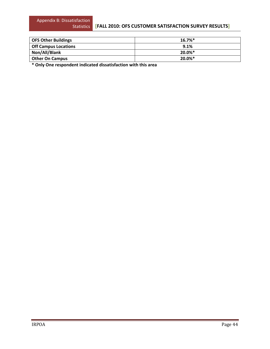#### **[FALL 2010: OFS CUSTOMER SATISFACTION SURVEY RESULTS]**

| <b>OFS Other Buildings</b>  | $16.7\%$ <sup>*</sup> |
|-----------------------------|-----------------------|
| <b>Off Campus Locations</b> | 9.1%                  |
| Non/All/Blank               | $20.0\%*$             |
| <b>Other On Campus</b>      | $20.0\%$ *            |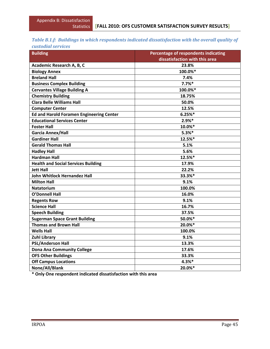#### *Table B.1.f: Buildings in which respondents indicated dissatisfaction with the overall quality of custodial services*

| симплинин мен үндэм                             |                                                                        |  |  |
|-------------------------------------------------|------------------------------------------------------------------------|--|--|
| <b>Building</b>                                 | Percentage of respondents indicating<br>dissatisfaction with this area |  |  |
|                                                 |                                                                        |  |  |
| Academic Research A, B, C                       | 23.8%                                                                  |  |  |
| <b>Biology Annex</b>                            | 100.0%*                                                                |  |  |
| <b>Breland Hall</b>                             | 7.4%                                                                   |  |  |
| <b>Business Complex Building</b>                | 7.7%                                                                   |  |  |
| <b>Cervantes Village Building A</b>             | 100.0%*                                                                |  |  |
| <b>Chemistry Building</b>                       | 18.75%                                                                 |  |  |
| <b>Clara Belle Williams Hall</b>                | 50.0%                                                                  |  |  |
| <b>Computer Center</b>                          | 12.5%                                                                  |  |  |
| <b>Ed and Harold Foramen Engineering Center</b> | 6.25%                                                                  |  |  |
| <b>Educational Services Center</b>              | $2.9%$ *                                                               |  |  |
| <b>Foster Hall</b>                              | 10.0%*                                                                 |  |  |
| Garcia Annex/Hall                               | $5.3%$ *                                                               |  |  |
| <b>Gardiner Hall</b>                            | 12.5%*                                                                 |  |  |
| <b>Gerald Thomas Hall</b>                       | 5.1%                                                                   |  |  |
| <b>Hadley Hall</b>                              | 5.6%                                                                   |  |  |
| <b>Hardman Hall</b>                             | 12.5%*                                                                 |  |  |
| <b>Health and Social Services Building</b>      | 17.9%                                                                  |  |  |
| <b>Jett Hall</b>                                | 22.2%                                                                  |  |  |
| John Whitlock Hernandez Hall                    | 33.3%*                                                                 |  |  |
| <b>Milton Hall</b>                              | 9.1%                                                                   |  |  |
| <b>Natatorium</b>                               | 100.0%                                                                 |  |  |
| <b>O'Donnell Hall</b>                           | 16.0%                                                                  |  |  |
| <b>Regents Row</b>                              | 9.1%                                                                   |  |  |
| <b>Science Hall</b>                             | 16.7%                                                                  |  |  |
| <b>Speech Building</b>                          | 37.5%                                                                  |  |  |
| <b>Sugerman Space Grant Building</b>            | 50.0%*                                                                 |  |  |
| <b>Thomas and Brown Hall</b>                    | 20.0%*                                                                 |  |  |
| <b>Wells Hall</b>                               | 100.0%                                                                 |  |  |
| <b>Zuhl Library</b>                             | 9.1%                                                                   |  |  |
| <b>PSL/Anderson Hall</b>                        | 13.3%                                                                  |  |  |
| <b>Dona Ana Community College</b>               | 17.6%                                                                  |  |  |
| <b>OFS Other Buildings</b>                      | 33.3%                                                                  |  |  |
| <b>Off Campus Locations</b>                     | $4.3%$ *                                                               |  |  |
| None/All/Blank                                  | 20.0%*                                                                 |  |  |
|                                                 |                                                                        |  |  |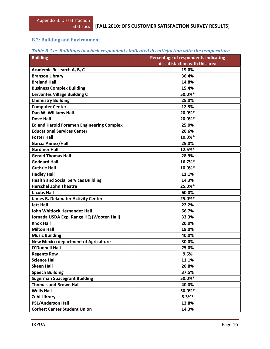## **B.2: Building and Environment**

|  |  | Table B.2.a: Buildings in which respondents indicated dissatisfaction with the temperature |
|--|--|--------------------------------------------------------------------------------------------|
|  |  |                                                                                            |

| <b>Building</b>                                  | Percentage of respondents indicating |  |  |
|--------------------------------------------------|--------------------------------------|--|--|
|                                                  | dissatisfaction with this area       |  |  |
| Academic Research A, B, C                        | 19.0%                                |  |  |
| <b>Branson Library</b>                           | 36.4%                                |  |  |
| <b>Breland Hall</b>                              | 14.8%                                |  |  |
| <b>Business Complex Building</b>                 | 15.4%                                |  |  |
| <b>Cervantes Village Building C</b>              | 50.0%*                               |  |  |
| <b>Chemistry Building</b>                        | 25.0%                                |  |  |
| <b>Computer Center</b>                           | 12.5%                                |  |  |
| Dan W. Williams Hall                             | 20.0%*                               |  |  |
| <b>Dove Hall</b>                                 | 20.0%*                               |  |  |
| <b>Ed and Harold Foramen Engineering Complex</b> | 25.0%                                |  |  |
| <b>Educational Services Center</b>               | 20.6%                                |  |  |
| <b>Foster Hall</b>                               | 10.0%*                               |  |  |
| Garcia Annex/Hall                                | 25.0%                                |  |  |
| <b>Gardiner Hall</b>                             | 12.5%*                               |  |  |
| <b>Gerald Thomas Hall</b>                        | 28.9%                                |  |  |
| <b>Goddard Hall</b>                              | 16.7%*                               |  |  |
| <b>Guthrie Hall</b>                              | 10.0%*                               |  |  |
| <b>Hadley Hall</b>                               | 11.1%                                |  |  |
| <b>Health and Social Services Building</b>       | 14.3%                                |  |  |
| <b>Herschel Zohn Theatre</b>                     | 25.0%*                               |  |  |
| <b>Jacobs Hall</b>                               | 60.0%                                |  |  |
| <b>James B. Delamater Activity Center</b>        | 25.0%*                               |  |  |
| <b>Jett Hall</b>                                 | 22.2%                                |  |  |
| <b>John Whitlock Hernandez Hall</b>              | 66.7%                                |  |  |
| Jornada USDA Exp. Range HQ (Wooten Hall)         | 33.3%                                |  |  |
| <b>Knox Hall</b>                                 | 20.0%                                |  |  |
| <b>Milton Hall</b>                               | 19.0%                                |  |  |
| <b>Music Building</b>                            | 40.0%                                |  |  |
| <b>New Mexico department of Agriculture</b>      | 30.0%                                |  |  |
| <b>O'Donnell Hall</b>                            | 25.0%                                |  |  |
| <b>Regents Row</b>                               | 9.5%                                 |  |  |
| <b>Science Hall</b>                              | 11.1%                                |  |  |
| <b>Skeen Hall</b>                                | 20.8%                                |  |  |
| <b>Speech Building</b>                           | 37.5%                                |  |  |
| <b>Sugerman Spacegrant Building</b>              | 50.0%*                               |  |  |
| <b>Thomas and Brown Hall</b>                     | 40.0%                                |  |  |
| <b>Wells Hall</b>                                | 50.0%*                               |  |  |
| <b>Zuhl Library</b>                              | $8.3%$ *                             |  |  |
| <b>PSL/Anderson Hall</b>                         | 13.8%                                |  |  |
| <b>Corbett Center Student Union</b>              | 14.3%                                |  |  |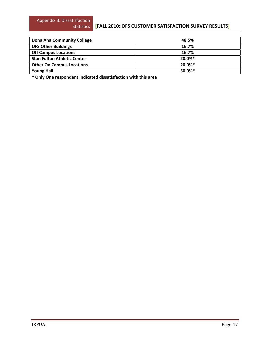#### **[FALL 2010: OFS CUSTOMER SATISFACTION SURVEY RESULTS]**

| Dona Ana Community College         | 48.5%                 |
|------------------------------------|-----------------------|
| <b>OFS Other Buildings</b>         | 16.7%                 |
| <b>Off Campus Locations</b>        | 16.7%                 |
| <b>Stan Fulton Athletic Center</b> | $20.0\%*$             |
| <b>Other On Campus Locations</b>   | $20.0\%*$             |
| <b>Young Hall</b>                  | $50.0\%$ <sup>*</sup> |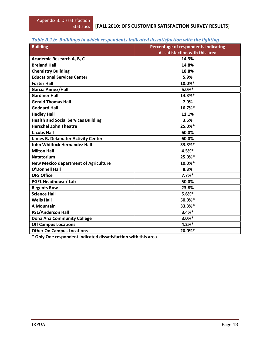| <b>Building</b>                             | <b>Percentage of respondents indicating</b> |
|---------------------------------------------|---------------------------------------------|
|                                             | dissatisfaction with this area              |
| Academic Research A, B, C                   | 14.3%                                       |
| <b>Breland Hall</b>                         | 14.8%                                       |
| <b>Chemistry Building</b>                   | 18.8%                                       |
| <b>Educational Services Center</b>          | 5.9%                                        |
| <b>Foster Hall</b>                          | 10.0%*                                      |
| Garcia Annex/Hall                           | 5.0%                                        |
| <b>Gardiner Hall</b>                        | 14.3%*                                      |
| <b>Gerald Thomas Hall</b>                   | 7.9%                                        |
| <b>Goddard Hall</b>                         | 16.7%*                                      |
| <b>Hadley Hall</b>                          | 11.1%                                       |
| <b>Health and Social Services Building</b>  | 3.6%                                        |
| <b>Herschel Zohn Theatre</b>                | 25.0%*                                      |
| <b>Jacobs Hall</b>                          | 60.0%                                       |
| <b>James B. Delamater Activity Center</b>   | 60.0%                                       |
| <b>John Whitlock Hernandez Hall</b>         | 33.3%*                                      |
| <b>Milton Hall</b>                          | 4.5%*                                       |
| <b>Natatorium</b>                           | 25.0%*                                      |
| <b>New Mexico department of Agriculture</b> | 10.0%*                                      |
| <b>O'Donnell Hall</b>                       | 8.3%                                        |
| <b>OFS Office</b>                           | 7.7%                                        |
| <b>PGEL Headhouse/Lab</b>                   | 50.0%                                       |
| <b>Regents Row</b>                          | 23.8%                                       |
| <b>Science Hall</b>                         | $5.6%$ *                                    |
| <b>Wells Hall</b>                           | 50.0%*                                      |
| <b>A Mountain</b>                           | 33.3%*                                      |
| <b>PSL/Anderson Hall</b>                    | $3.4%$ *                                    |
| <b>Dona Ana Community College</b>           | $3.0%$ *                                    |
| <b>Off Campus Locations</b>                 | 4.2%                                        |
| <b>Other On Campus Locations</b>            | 20.0%*                                      |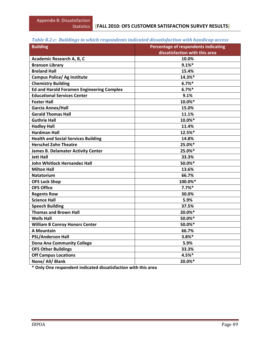# *Table B.2.c: Buildings in which respondents indicated dissatisfaction with handicap access*

| <b>Building</b>                                  | Percentage of respondents indicating |
|--------------------------------------------------|--------------------------------------|
|                                                  | dissatisfaction with this area       |
| Academic Research A, B, C                        | 10.0%                                |
| <b>Branson Library</b>                           | 9.1%                                 |
| <b>Breland Hall</b>                              | 15.4%                                |
| <b>Campus Police/ Ag Institute</b>               | 14.3%*                               |
| <b>Chemistry Building</b>                        | 6.7%                                 |
| <b>Ed and Harold Foramen Engineering Complex</b> | 6.7%                                 |
| <b>Educational Services Center</b>               | 9.1%                                 |
| <b>Foster Hall</b>                               | 10.0%*                               |
| Garcia Annex/Hall                                | 15.0%                                |
| <b>Gerald Thomas Hall</b>                        | 11.1%                                |
| <b>Guthrie Hall</b>                              | 10.0%*                               |
| <b>Hadley Hall</b>                               | 11.4%                                |
| <b>Hardman Hall</b>                              | 12.5%*                               |
| <b>Health and Social Services Building</b>       | 14.8%                                |
| <b>Herschel Zohn Theatre</b>                     | 25.0%*                               |
| <b>James B. Delamater Activity Center</b>        | 25.0%*                               |
| <b>Jett Hall</b>                                 | 33.3%                                |
| <b>John Whitlock Hernandez Hall</b>              | 50.0%*                               |
| <b>Milton Hall</b>                               | 13.6%                                |
| <b>Natatorium</b>                                | 66.7%                                |
| <b>OFS Lock Shop</b>                             | 100.0%*                              |
| <b>OFS Office</b>                                | 7.7%                                 |
| <b>Regents Row</b>                               | 30.0%                                |
| <b>Science Hall</b>                              | 5.9%                                 |
| <b>Speech Building</b>                           | 37.5%                                |
| <b>Thomas and Brown Hall</b>                     | 20.0%*                               |
| <b>Wells Hall</b>                                | 50.0%*                               |
| <b>William B Conroy Honors Center</b>            | 50.0%*                               |
| <b>A Mountain</b>                                | 66.7%                                |
| <b>PSL/Anderson Hall</b>                         | $3.8%$ *                             |
| <b>Dona Ana Community College</b>                | 5.9%                                 |
| <b>OFS Other Buildings</b>                       | 33.3%                                |
| <b>Off Campus Locations</b>                      | 4.5%*                                |
| None/ All/ Blank                                 | 20.0%*                               |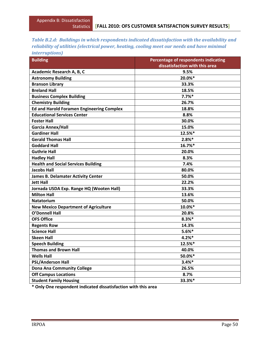| Table B.2.d: Buildings in which respondents indicated dissatisfaction with the availability and |
|-------------------------------------------------------------------------------------------------|
| reliability of utilities (electrical power, heating, cooling meet our needs and have minimal    |
| <i>interruptions</i> )                                                                          |

| <b>Building</b>                                  | Percentage of respondents indicating |
|--------------------------------------------------|--------------------------------------|
|                                                  | dissatisfaction with this area       |
| Academic Research A, B, C                        | 9.5%                                 |
| <b>Astronomy Building</b>                        | 20.0%*                               |
| <b>Branson Library</b>                           | 33.3%                                |
| <b>Breland Hall</b>                              | 18.5%                                |
| <b>Business Complex Building</b>                 | 7.7%                                 |
| <b>Chemistry Building</b>                        | 26.7%                                |
| <b>Ed and Harold Foramen Engineering Complex</b> | 18.8%                                |
| <b>Educational Services Center</b>               | 8.8%                                 |
| <b>Foster Hall</b>                               | 30.0%                                |
| Garcia Annex/Hall                                | 15.0%                                |
| <b>Gardiner Hall</b>                             | 12.5%*                               |
| <b>Gerald Thomas Hall</b>                        | $2.8%$ *                             |
| <b>Goddard Hall</b>                              | 16.7%*                               |
| <b>Guthrie Hall</b>                              | 20.0%                                |
| <b>Hadley Hall</b>                               | 8.3%                                 |
| <b>Health and Social Services Building</b>       | 7.4%                                 |
| <b>Jacobs Hall</b>                               | 80.0%                                |
| <b>James B. Delamater Activity Center</b>        | 50.0%                                |
| <b>Jett Hall</b>                                 | 22.2%                                |
| Jornada USDA Exp. Range HQ (Wooten Hall)         | 33.3%                                |
| <b>Milton Hall</b>                               | 13.6%                                |
| <b>Natatorium</b>                                | 50.0%                                |
| <b>New Mexico Department of Agriculture</b>      | 10.0%*                               |
| <b>O'Donnell Hall</b>                            | 20.8%                                |
| <b>OFS Office</b>                                | $8.3%$ *                             |
| <b>Regents Row</b>                               | 14.3%                                |
| <b>Science Hall</b>                              | $5.6%$ *                             |
| <b>Skeen Hall</b>                                | 4.2%                                 |
| <b>Speech Building</b>                           | 12.5%*                               |
| <b>Thomas and Brown Hall</b>                     | 40.0%                                |
| <b>Wells Hall</b>                                | 50.0%*                               |
| <b>PSL/Anderson Hall</b>                         | $3.4%$ *                             |
| <b>Dona Ana Community College</b>                | 26.5%                                |
| <b>Off Campus Locations</b>                      | 8.7%                                 |
| <b>Student Family Housing</b>                    | 33.3%*                               |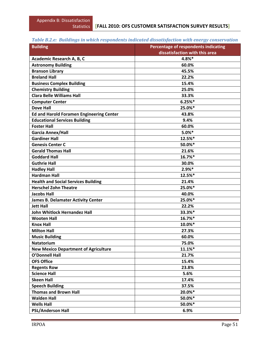# *Table B.2.e: Buildings in which respondents indicated dissatisfaction with energy conservation*

| dissatisfaction with this area<br>4.8%*<br>Academic Research A, B, C<br><b>Astronomy Building</b><br>60.0%<br><b>Branson Library</b><br>45.5%<br><b>Breland Hall</b><br>22.2%<br><b>Business Complex Building</b><br>15.4%<br><b>Chemistry Building</b><br>25.0%<br><b>Clara Belle Williams Hall</b><br>33.3%<br>6.25%<br><b>Computer Center</b><br><b>Dove Hall</b><br>25.0%*<br><b>Ed and Harold Foramen Engineering Center</b><br>43.8%<br><b>Educational Services Building</b><br>9.4%<br><b>Foster Hall</b><br>60.0%<br>5.0%<br><b>Garcia Annex/Hall</b><br><b>Gardiner Hall</b><br>12.5%*<br>50.0%*<br><b>Genesis Center C</b><br><b>Gerald Thomas Hall</b><br>21.6%<br>16.7%*<br><b>Goddard Hall</b><br><b>Guthrie Hall</b><br>30.0%<br>$2.9%*$<br><b>Hadley Hall</b><br><b>Hardman Hall</b><br>12.5%*<br><b>Health and Social Services Building</b><br>21.4%<br>25.0%*<br><b>Herschel Zohn Theatre</b><br><b>Jacobs Hall</b><br>40.0%<br>25.0%*<br><b>James B. Delamater Activity Center</b><br><b>Jett Hall</b><br>22.2%<br>33.3%*<br><b>John Whitlock Hernandez Hall</b><br>16.7%*<br><b>Wooten Hall</b><br><b>Knox Hall</b><br>10.0%*<br><b>Milton Hall</b><br>27.3%<br><b>Music Building</b><br>60.0%<br><b>Natatorium</b><br>75.0%<br><b>New Mexico Department of Agriculture</b><br>11.1%*<br><b>O'Donnell Hall</b><br>21.7%<br><b>OFS Office</b><br>15.4%<br><b>Regents Row</b><br>23.8%<br><b>Science Hall</b><br>5.6%<br><b>Skeen Hall</b><br>17.4% | <b>Building</b>        | Percentage of respondents indicating |
|----------------------------------------------------------------------------------------------------------------------------------------------------------------------------------------------------------------------------------------------------------------------------------------------------------------------------------------------------------------------------------------------------------------------------------------------------------------------------------------------------------------------------------------------------------------------------------------------------------------------------------------------------------------------------------------------------------------------------------------------------------------------------------------------------------------------------------------------------------------------------------------------------------------------------------------------------------------------------------------------------------------------------------------------------------------------------------------------------------------------------------------------------------------------------------------------------------------------------------------------------------------------------------------------------------------------------------------------------------------------------------------------------------------------------------------------------------------------|------------------------|--------------------------------------|
|                                                                                                                                                                                                                                                                                                                                                                                                                                                                                                                                                                                                                                                                                                                                                                                                                                                                                                                                                                                                                                                                                                                                                                                                                                                                                                                                                                                                                                                                      |                        |                                      |
|                                                                                                                                                                                                                                                                                                                                                                                                                                                                                                                                                                                                                                                                                                                                                                                                                                                                                                                                                                                                                                                                                                                                                                                                                                                                                                                                                                                                                                                                      |                        |                                      |
|                                                                                                                                                                                                                                                                                                                                                                                                                                                                                                                                                                                                                                                                                                                                                                                                                                                                                                                                                                                                                                                                                                                                                                                                                                                                                                                                                                                                                                                                      |                        |                                      |
|                                                                                                                                                                                                                                                                                                                                                                                                                                                                                                                                                                                                                                                                                                                                                                                                                                                                                                                                                                                                                                                                                                                                                                                                                                                                                                                                                                                                                                                                      |                        |                                      |
|                                                                                                                                                                                                                                                                                                                                                                                                                                                                                                                                                                                                                                                                                                                                                                                                                                                                                                                                                                                                                                                                                                                                                                                                                                                                                                                                                                                                                                                                      |                        |                                      |
|                                                                                                                                                                                                                                                                                                                                                                                                                                                                                                                                                                                                                                                                                                                                                                                                                                                                                                                                                                                                                                                                                                                                                                                                                                                                                                                                                                                                                                                                      |                        |                                      |
|                                                                                                                                                                                                                                                                                                                                                                                                                                                                                                                                                                                                                                                                                                                                                                                                                                                                                                                                                                                                                                                                                                                                                                                                                                                                                                                                                                                                                                                                      |                        |                                      |
|                                                                                                                                                                                                                                                                                                                                                                                                                                                                                                                                                                                                                                                                                                                                                                                                                                                                                                                                                                                                                                                                                                                                                                                                                                                                                                                                                                                                                                                                      |                        |                                      |
|                                                                                                                                                                                                                                                                                                                                                                                                                                                                                                                                                                                                                                                                                                                                                                                                                                                                                                                                                                                                                                                                                                                                                                                                                                                                                                                                                                                                                                                                      |                        |                                      |
|                                                                                                                                                                                                                                                                                                                                                                                                                                                                                                                                                                                                                                                                                                                                                                                                                                                                                                                                                                                                                                                                                                                                                                                                                                                                                                                                                                                                                                                                      |                        |                                      |
|                                                                                                                                                                                                                                                                                                                                                                                                                                                                                                                                                                                                                                                                                                                                                                                                                                                                                                                                                                                                                                                                                                                                                                                                                                                                                                                                                                                                                                                                      |                        |                                      |
|                                                                                                                                                                                                                                                                                                                                                                                                                                                                                                                                                                                                                                                                                                                                                                                                                                                                                                                                                                                                                                                                                                                                                                                                                                                                                                                                                                                                                                                                      |                        |                                      |
|                                                                                                                                                                                                                                                                                                                                                                                                                                                                                                                                                                                                                                                                                                                                                                                                                                                                                                                                                                                                                                                                                                                                                                                                                                                                                                                                                                                                                                                                      |                        |                                      |
|                                                                                                                                                                                                                                                                                                                                                                                                                                                                                                                                                                                                                                                                                                                                                                                                                                                                                                                                                                                                                                                                                                                                                                                                                                                                                                                                                                                                                                                                      |                        |                                      |
|                                                                                                                                                                                                                                                                                                                                                                                                                                                                                                                                                                                                                                                                                                                                                                                                                                                                                                                                                                                                                                                                                                                                                                                                                                                                                                                                                                                                                                                                      |                        |                                      |
|                                                                                                                                                                                                                                                                                                                                                                                                                                                                                                                                                                                                                                                                                                                                                                                                                                                                                                                                                                                                                                                                                                                                                                                                                                                                                                                                                                                                                                                                      |                        |                                      |
|                                                                                                                                                                                                                                                                                                                                                                                                                                                                                                                                                                                                                                                                                                                                                                                                                                                                                                                                                                                                                                                                                                                                                                                                                                                                                                                                                                                                                                                                      |                        |                                      |
|                                                                                                                                                                                                                                                                                                                                                                                                                                                                                                                                                                                                                                                                                                                                                                                                                                                                                                                                                                                                                                                                                                                                                                                                                                                                                                                                                                                                                                                                      |                        |                                      |
|                                                                                                                                                                                                                                                                                                                                                                                                                                                                                                                                                                                                                                                                                                                                                                                                                                                                                                                                                                                                                                                                                                                                                                                                                                                                                                                                                                                                                                                                      |                        |                                      |
|                                                                                                                                                                                                                                                                                                                                                                                                                                                                                                                                                                                                                                                                                                                                                                                                                                                                                                                                                                                                                                                                                                                                                                                                                                                                                                                                                                                                                                                                      |                        |                                      |
|                                                                                                                                                                                                                                                                                                                                                                                                                                                                                                                                                                                                                                                                                                                                                                                                                                                                                                                                                                                                                                                                                                                                                                                                                                                                                                                                                                                                                                                                      |                        |                                      |
|                                                                                                                                                                                                                                                                                                                                                                                                                                                                                                                                                                                                                                                                                                                                                                                                                                                                                                                                                                                                                                                                                                                                                                                                                                                                                                                                                                                                                                                                      |                        |                                      |
|                                                                                                                                                                                                                                                                                                                                                                                                                                                                                                                                                                                                                                                                                                                                                                                                                                                                                                                                                                                                                                                                                                                                                                                                                                                                                                                                                                                                                                                                      |                        |                                      |
|                                                                                                                                                                                                                                                                                                                                                                                                                                                                                                                                                                                                                                                                                                                                                                                                                                                                                                                                                                                                                                                                                                                                                                                                                                                                                                                                                                                                                                                                      |                        |                                      |
|                                                                                                                                                                                                                                                                                                                                                                                                                                                                                                                                                                                                                                                                                                                                                                                                                                                                                                                                                                                                                                                                                                                                                                                                                                                                                                                                                                                                                                                                      |                        |                                      |
|                                                                                                                                                                                                                                                                                                                                                                                                                                                                                                                                                                                                                                                                                                                                                                                                                                                                                                                                                                                                                                                                                                                                                                                                                                                                                                                                                                                                                                                                      |                        |                                      |
|                                                                                                                                                                                                                                                                                                                                                                                                                                                                                                                                                                                                                                                                                                                                                                                                                                                                                                                                                                                                                                                                                                                                                                                                                                                                                                                                                                                                                                                                      |                        |                                      |
|                                                                                                                                                                                                                                                                                                                                                                                                                                                                                                                                                                                                                                                                                                                                                                                                                                                                                                                                                                                                                                                                                                                                                                                                                                                                                                                                                                                                                                                                      |                        |                                      |
|                                                                                                                                                                                                                                                                                                                                                                                                                                                                                                                                                                                                                                                                                                                                                                                                                                                                                                                                                                                                                                                                                                                                                                                                                                                                                                                                                                                                                                                                      |                        |                                      |
|                                                                                                                                                                                                                                                                                                                                                                                                                                                                                                                                                                                                                                                                                                                                                                                                                                                                                                                                                                                                                                                                                                                                                                                                                                                                                                                                                                                                                                                                      |                        |                                      |
|                                                                                                                                                                                                                                                                                                                                                                                                                                                                                                                                                                                                                                                                                                                                                                                                                                                                                                                                                                                                                                                                                                                                                                                                                                                                                                                                                                                                                                                                      |                        |                                      |
|                                                                                                                                                                                                                                                                                                                                                                                                                                                                                                                                                                                                                                                                                                                                                                                                                                                                                                                                                                                                                                                                                                                                                                                                                                                                                                                                                                                                                                                                      |                        |                                      |
|                                                                                                                                                                                                                                                                                                                                                                                                                                                                                                                                                                                                                                                                                                                                                                                                                                                                                                                                                                                                                                                                                                                                                                                                                                                                                                                                                                                                                                                                      |                        |                                      |
|                                                                                                                                                                                                                                                                                                                                                                                                                                                                                                                                                                                                                                                                                                                                                                                                                                                                                                                                                                                                                                                                                                                                                                                                                                                                                                                                                                                                                                                                      |                        |                                      |
|                                                                                                                                                                                                                                                                                                                                                                                                                                                                                                                                                                                                                                                                                                                                                                                                                                                                                                                                                                                                                                                                                                                                                                                                                                                                                                                                                                                                                                                                      |                        |                                      |
|                                                                                                                                                                                                                                                                                                                                                                                                                                                                                                                                                                                                                                                                                                                                                                                                                                                                                                                                                                                                                                                                                                                                                                                                                                                                                                                                                                                                                                                                      |                        |                                      |
|                                                                                                                                                                                                                                                                                                                                                                                                                                                                                                                                                                                                                                                                                                                                                                                                                                                                                                                                                                                                                                                                                                                                                                                                                                                                                                                                                                                                                                                                      |                        |                                      |
|                                                                                                                                                                                                                                                                                                                                                                                                                                                                                                                                                                                                                                                                                                                                                                                                                                                                                                                                                                                                                                                                                                                                                                                                                                                                                                                                                                                                                                                                      |                        |                                      |
|                                                                                                                                                                                                                                                                                                                                                                                                                                                                                                                                                                                                                                                                                                                                                                                                                                                                                                                                                                                                                                                                                                                                                                                                                                                                                                                                                                                                                                                                      | <b>Speech Building</b> | 37.5%                                |
| <b>Thomas and Brown Hall</b><br>20.0%*                                                                                                                                                                                                                                                                                                                                                                                                                                                                                                                                                                                                                                                                                                                                                                                                                                                                                                                                                                                                                                                                                                                                                                                                                                                                                                                                                                                                                               |                        |                                      |
| 50.0%*<br><b>Walden Hall</b>                                                                                                                                                                                                                                                                                                                                                                                                                                                                                                                                                                                                                                                                                                                                                                                                                                                                                                                                                                                                                                                                                                                                                                                                                                                                                                                                                                                                                                         |                        |                                      |
| <b>Wells Hall</b><br>50.0%*                                                                                                                                                                                                                                                                                                                                                                                                                                                                                                                                                                                                                                                                                                                                                                                                                                                                                                                                                                                                                                                                                                                                                                                                                                                                                                                                                                                                                                          |                        |                                      |
| <b>PSL/Anderson Hall</b><br>6.9%                                                                                                                                                                                                                                                                                                                                                                                                                                                                                                                                                                                                                                                                                                                                                                                                                                                                                                                                                                                                                                                                                                                                                                                                                                                                                                                                                                                                                                     |                        |                                      |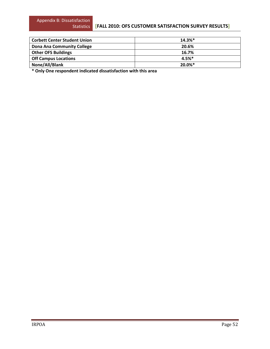#### **[FALL 2010: OFS CUSTOMER SATISFACTION SURVEY RESULTS]**

| <b>Corbett Center Student Union</b> | $14.3%$ * |
|-------------------------------------|-----------|
| <b>Dona Ana Community College</b>   | 20.6%     |
| <b>Other OFS Buildings</b>          | 16.7%     |
| <b>Off Campus Locations</b>         | $4.5%$ *  |
| None/All/Blank                      | 20.0%*    |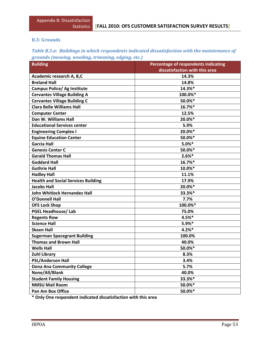#### **B.3: Grounds**

| Table B.3.a: Buildings in which respondents indicated dissatisfaction with the maintenance of |
|-----------------------------------------------------------------------------------------------|
| grounds (mowing, weeding, trimming, edging, etc.)                                             |

| <b>Building</b>                            | Percentage of respondents indicating |
|--------------------------------------------|--------------------------------------|
|                                            | dissatisfaction with this area       |
| Academic research A, B,C                   | 14.3%                                |
| <b>Breland Hall</b>                        | 14.8%                                |
| <b>Campus Police/ Ag Institute</b>         | 14.3%*                               |
| <b>Cervantes Village Building A</b>        | 100.0%*                              |
| <b>Cervantes Village Building C</b>        | 50.0%*                               |
| <b>Clara Belle Williams Hall</b>           | 16.7%*                               |
| <b>Computer Center</b>                     | 12.5%                                |
| Dan W. Williams Hall                       | 20.0%*                               |
| <b>Educational Services center</b>         | 5.9%                                 |
| <b>Engineering Complex I</b>               | 20.0%*                               |
| <b>Equine Education Center</b>             | 50.0%*                               |
| <b>Garcia Hall</b>                         | $5.0%$ *                             |
| <b>Genesis Center C</b>                    | 50.0%*                               |
| <b>Gerald Thomas Hall</b>                  | $2.6%$ *                             |
| <b>Goddard Hall</b>                        | 16.7%*                               |
| <b>Guthrie Hall</b>                        | 10.0%*                               |
| <b>Hadley Hall</b>                         | 11.1%                                |
| <b>Health and Social Services Building</b> | 17.9%                                |
| <b>Jacobs Hall</b>                         | 20.0%*                               |
| John Whitlock Hernandez Hall               | 33.3%*                               |
| <b>O'Donnell Hall</b>                      | 7.7%                                 |
| <b>OFS Lock Shop</b>                       | 100.0%*                              |
| <b>PGEL Headhouse/Lab</b>                  | 75.0%                                |
| <b>Regents Row</b>                         | 4.5%*                                |
| <b>Science Hall</b>                        | $5.9%*$                              |
| <b>Skeen Hall</b>                          | 4.2%                                 |
| <b>Sugerman Spacegrant Building</b>        | 100.0%                               |
| <b>Thomas and Brown Hall</b>               | 40.0%                                |
| <b>Wells Hall</b>                          | 50.0%*                               |
| <b>Zuhl Library</b>                        | 8.3%                                 |
| <b>PSL/Anderson Hall</b>                   | 3.4%                                 |
| <b>Dona Ana Community College</b>          | 5.7%                                 |
| None/All/Blank                             | 40.0%                                |
| <b>Student Family Housing</b>              | 33.3%*                               |
| <b>NMSU Mail Room</b>                      | 50.0%*                               |
| Pan Am Box Office                          | 50.0%*                               |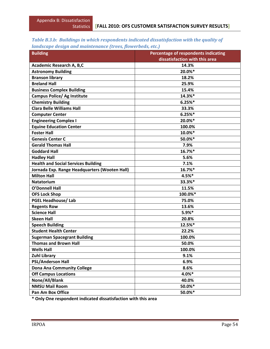| Table B.3.b: Buildings in which respondents indicated dissatisfaction with the quality of |  |  |  |
|-------------------------------------------------------------------------------------------|--|--|--|
| landscape design and maintenance (trees, flowerbeds, etc.)                                |  |  |  |

| <b>Building</b>                               | Percentage of respondents indicating |
|-----------------------------------------------|--------------------------------------|
|                                               | dissatisfaction with this area       |
| Academic Research A, B,C                      | 14.3%                                |
| <b>Astronomy Building</b>                     | 20.0%*                               |
| <b>Branson library</b>                        | 18.2%                                |
| <b>Breland Hall</b>                           | 25.9%                                |
| <b>Business Complex Building</b>              | 15.4%                                |
| <b>Campus Police/ Ag Institute</b>            | 14.3%*                               |
| <b>Chemistry Building</b>                     | 6.25%                                |
| <b>Clara Belle Williams Hall</b>              | 33.3%                                |
| <b>Computer Center</b>                        | 6.25%                                |
| <b>Engineering Complex I</b>                  | 20.0%*                               |
| <b>Equine Education Center</b>                | 100.0%                               |
| <b>Foster Hall</b>                            | 10.0%*                               |
| <b>Genesis Center C</b>                       | 50.0%*                               |
| <b>Gerald Thomas Hall</b>                     | 7.9%                                 |
| <b>Goddard Hall</b>                           | 16.7%*                               |
| <b>Hadley Hall</b>                            | 5.6%                                 |
| <b>Health and Social Services Building</b>    | 7.1%                                 |
| Jornada Exp. Range Headquarters (Wooten Hall) | 16.7%*                               |
| <b>Milton Hall</b>                            | 4.5%*                                |
| <b>Natatorium</b>                             | 33.3%*                               |
| <b>O'Donnell Hall</b>                         | 11.5%                                |
| <b>OFS Lock Shop</b>                          | 100.0%*                              |
| <b>PGEL Headhouse/Lab</b>                     | 75.0%                                |
| <b>Regents Row</b>                            | 13.6%                                |
| <b>Science Hall</b>                           | $5.9%*$                              |
| <b>Skeen Hall</b>                             | 20.8%                                |
| <b>Speech Building</b>                        | 12.5%*                               |
| <b>Student Health Center</b>                  | 22.2%                                |
| <b>Sugerman Spacegrant Building</b>           | 100.0%                               |
| <b>Thomas and Brown Hall</b>                  | 50.0%                                |
| <b>Wells Hall</b>                             | 100.0%                               |
| <b>Zuhl Library</b>                           | 9.1%                                 |
| <b>PSL/Anderson Hall</b>                      | 6.9%                                 |
| <b>Dona Ana Community College</b>             | 8.6%                                 |
| <b>Off Campus Locations</b>                   | 4.0%*                                |
| None/All/Blank                                | 40.0%                                |
| <b>NMSU Mail Room</b>                         | 50.0%*                               |
| <b>Pan Am Box Office</b>                      | 50.0%*                               |
|                                               |                                      |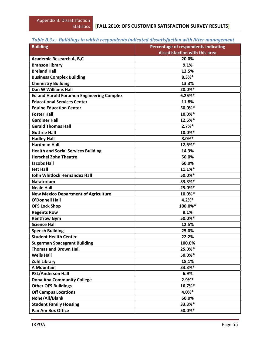## *Table B.3.c: Buildings in which respondents indicated dissatisfaction with litter management*

| <b>Building</b>                                  | Percentage of respondents indicating |
|--------------------------------------------------|--------------------------------------|
|                                                  | dissatisfaction with this area       |
| Academic Research A, B,C                         | 20.0%                                |
| <b>Branson library</b>                           | 9.1%                                 |
| <b>Breland Hall</b>                              | 12.5%                                |
| <b>Business Complex Building</b>                 | $8.3%$ *                             |
| <b>Chemistry Building</b>                        | 13.3%                                |
| Dan W Williams Hall                              | 20.0%*                               |
| <b>Ed and Harold Foramen Engineering Complex</b> | 6.25%                                |
| <b>Educational Services Center</b>               | 11.8%                                |
| <b>Equine Education Center</b>                   | 50.0%*                               |
| <b>Foster Hall</b>                               | 10.0%*                               |
| <b>Gardiner Hall</b>                             | 12.5%*                               |
| <b>Gerald Thomas Hall</b>                        | 2.7%                                 |
| <b>Guthrie Hall</b>                              | 10.0%*                               |
| <b>Hadley Hall</b>                               | $3.0%$ *                             |
| <b>Hardman Hall</b>                              | 12.5%*                               |
| <b>Health and Social Services Building</b>       | 14.3%                                |
| <b>Herschel Zohn Theatre</b>                     | 50.0%                                |
| <b>Jacobs Hall</b>                               | 60.0%                                |
| <b>Jett Hall</b>                                 | 11.1%*                               |
| <b>John Whitlock Hernandez Hall</b>              | 50.0%*                               |
| <b>Natatorium</b>                                | 33.3%*                               |
| <b>Neale Hall</b>                                | 25.0%*                               |
| <b>New Mexico Department of Agriculture</b>      | 10.0%*                               |
| <b>O'Donnell Hall</b>                            | $4.2%$ *                             |
| <b>OFS Lock Shop</b>                             | 100.0%*                              |
| <b>Regents Row</b>                               | 9.1%                                 |
| <b>Rentfrow Gym</b>                              | 50.0%*                               |
| <b>Science Hall</b>                              | 12.5%                                |
| <b>Speech Building</b>                           | 25.0%                                |
| <b>Student Health Center</b>                     | 22.2%                                |
| <b>Sugerman Spacegrant Building</b>              | 100.0%                               |
| <b>Thomas and Brown Hall</b>                     | 25.0%*                               |
| <b>Wells Hall</b>                                | 50.0%*                               |
| <b>Zuhl Library</b>                              | 18.1%                                |
| <b>A Mountain</b>                                | 33.3%*                               |
| <b>PSL/Anderson Hall</b>                         | 6.9%                                 |
| <b>Dona Ana Community College</b>                | $2.9%*$                              |
| <b>Other OFS Buildings</b>                       | 16.7%*                               |
| <b>Off Campus Locations</b>                      | $4.0%$ *                             |
| None/All/Blank                                   | 60.0%                                |
| <b>Student Family Housing</b>                    | 33.3%*                               |
| <b>Pan Am Box Office</b>                         | 50.0%*                               |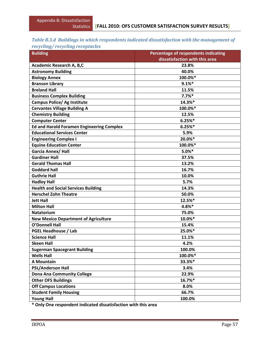### *Table B.3.d Buildings in which respondents indicated dissatisfaction with the management of recycling/ recycling receptacles*

| <b>Building</b>                                  | Percentage of respondents indicating |
|--------------------------------------------------|--------------------------------------|
|                                                  | dissatisfaction with this area       |
| Academic Research A, B,C                         | 23.8%                                |
| <b>Astronomy Building</b>                        | 40.0%                                |
| <b>Biology Annex</b>                             | 100.0%*                              |
| <b>Branson Library</b>                           | 9.1%                                 |
| <b>Breland Hall</b>                              | 11.5%                                |
| <b>Business Complex Building</b>                 | 7.7%                                 |
| <b>Campus Police/ Ag Institute</b>               | 14.3%*                               |
| <b>Cervantes Village Building A</b>              | 100.0%*                              |
| <b>Chemistry Building</b>                        | 12.5%                                |
| <b>Computer Center</b>                           | 6.25%                                |
| <b>Ed and Harold Foramen Engineering Complex</b> | 6.25%                                |
| <b>Educational Services Center</b>               | 5.9%                                 |
| <b>Engineering Complex I</b>                     | 20.0%*                               |
| <b>Equine Education Center</b>                   | 100.0%*                              |
| <b>Garcia Annex/ Hall</b>                        | $5.0%$ *                             |
| <b>Gardiner Hall</b>                             | 37.5%                                |
| <b>Gerald Thomas Hall</b>                        | 13.2%                                |
| <b>Goddard hall</b>                              | 16.7%                                |
| <b>Guthrie Hall</b>                              | 10.0%                                |
| <b>Hadley Hall</b>                               | 5.7%                                 |
| <b>Health and Social Services Building</b>       | 14.3%                                |
| <b>Herschel Zohn Theatre</b>                     | 50.0%                                |
| <b>Jett Hall</b>                                 | 12.5%*                               |
| <b>Milton Hall</b>                               | 4.8%*                                |
| <b>Natatorium</b>                                | 75.0%                                |
| <b>New Mexico Department of Agriculture</b>      | 10.0%*                               |
| <b>O'Donnell Hall</b>                            | 15.4%                                |
| <b>PGEL Headhouse / Lab</b>                      | 25.0%*                               |
| <b>Science Hall</b>                              | 11.1%                                |
| <b>Skeen Hall</b>                                | 4.2%                                 |
| <b>Sugerman Spacegrant Building</b>              | 100.0%                               |
| <b>Wells Hall</b>                                | 100.0%*                              |
| <b>A Mountain</b>                                | 33.3%*                               |
| <b>PSL/Anderson Hall</b>                         | 3.4%                                 |
| <b>Dona Ana Community College</b>                | 22.9%                                |
| <b>Other OFS Buildings</b>                       | 16.7%*                               |
| <b>Off Campus Locations</b>                      | 8.0%                                 |
| <b>Student Family Housing</b>                    | 66.7%                                |
| <b>Young Hall</b>                                | 100.0%                               |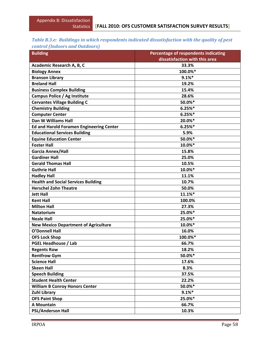#### *Table B.3.e: Buildings in which respondents indicated dissatisfaction with the quality of pest control (Indoors and Outdoors)*

| <b>Building</b>                                 | Percentage of respondents indicating |
|-------------------------------------------------|--------------------------------------|
|                                                 | dissatisfaction with this area       |
| Academic Research A, B, C                       | 33.3%                                |
| <b>Biology Annex</b>                            | 100.0%*                              |
| <b>Branson Library</b>                          | 9.1%                                 |
| <b>Breland Hall</b>                             | 19.2%                                |
| <b>Business Complex Building</b>                | 15.4%                                |
| Campus Police / Ag Institute                    | 28.6%                                |
| <b>Cervantes Village Building C</b>             | 50.0%*                               |
| <b>Chemistry Building</b>                       | 6.25%                                |
| <b>Computer Center</b>                          | 6.25%                                |
| Dan W Williams Hall                             | 20.0%*                               |
| <b>Ed and Harold Foramen Engineering Center</b> | 6.25%                                |
| <b>Educational Services Building</b>            | 5.9%                                 |
| <b>Equine Education Center</b>                  | 50.0%*                               |
| <b>Foster Hall</b>                              | 10.0%*                               |
| Garcia Annex/Hall                               | 15.8%                                |
| <b>Gardiner Hall</b>                            | 25.0%                                |
| <b>Gerald Thomas Hall</b>                       | 10.5%                                |
| <b>Guthrie Hall</b>                             | 10.0%*                               |
| <b>Hadley Hall</b>                              | 11.1%                                |
| <b>Health and Social Services Building</b>      | 10.7%                                |
| <b>Herschel Zohn Theatre</b>                    | 50.0%                                |
| <b>Jett Hall</b>                                | 11.1%*                               |
| <b>Kent Hall</b>                                | 100.0%                               |
| <b>Milton Hall</b>                              | 27.3%                                |
| <b>Natatorium</b>                               | 25.0%*                               |
| <b>Neale Hall</b>                               | 25.0%*                               |
| <b>New Mexico Department of Agriculture</b>     | 10.0%*                               |
| <b>O'Donnell Hall</b>                           | 16.0%                                |
| <b>OFS Lock Shop</b>                            | 100.0%*                              |
| <b>PGEL Headhouse / Lab</b>                     | 66.7%                                |
| <b>Regents Row</b>                              | 18.2%                                |
| <b>Rentfrow Gym</b>                             | 50.0%*                               |
| <b>Science Hall</b>                             | 17.6%                                |
| <b>Skeen Hall</b>                               | 8.3%                                 |
| <b>Speech Building</b>                          | 37.5%                                |
| <b>Student Health Center</b>                    | 22.2%                                |
| <b>William B Conroy Honors Center</b>           | 50.0%*                               |
| <b>Zuhl Library</b>                             | 9.1%                                 |
| <b>OFS Paint Shop</b>                           | 25.0%*                               |
| <b>A Mountain</b>                               | 66.7%                                |
| <b>PSL/Anderson Hall</b>                        | 10.3%                                |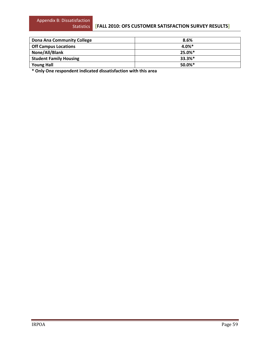#### **[FALL 2010: OFS CUSTOMER SATISFACTION SURVEY RESULTS]**

| Dona Ana Community College    | 8.6%      |
|-------------------------------|-----------|
| <b>Off Campus Locations</b>   | $4.0\%$ * |
| None/All/Blank                | 25.0%*    |
| <b>Student Family Housing</b> | $33.3%$ * |
| <b>Young Hall</b>             | 50.0%*    |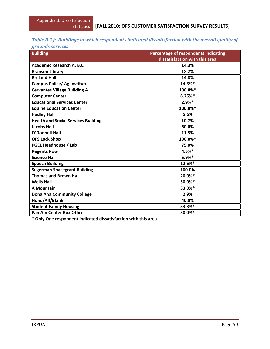# *Table B.3.f: Buildings in which respondents indicated dissatisfaction with the overall quality of*

| grounds services |  |  |  |
|------------------|--|--|--|
|                  |  |  |  |

| <b>Building</b>                            | Percentage of respondents indicating<br>dissatisfaction with this area |
|--------------------------------------------|------------------------------------------------------------------------|
| Academic Research A, B,C                   | 14.3%                                                                  |
| <b>Branson Library</b>                     | 18.2%                                                                  |
| <b>Breland Hall</b>                        | 14.8%                                                                  |
| <b>Campus Police/ Ag Institute</b>         | 14.3%*                                                                 |
|                                            | 100.0%*                                                                |
| <b>Cervantes Village Building A</b>        |                                                                        |
| <b>Computer Center</b>                     | 6.25%                                                                  |
| <b>Educational Services Center</b>         | $2.9%*$                                                                |
| <b>Equine Education Center</b>             | 100.0%*                                                                |
| <b>Hadley Hall</b>                         | 5.6%                                                                   |
| <b>Health and Social Services Building</b> | 10.7%                                                                  |
| <b>Jacobs Hall</b>                         | 60.0%                                                                  |
| <b>O'Donnell Hall</b>                      | 11.5%                                                                  |
| <b>OFS Lock Shop</b>                       | 100.0%*                                                                |
| <b>PGEL Headhouse / Lab</b>                | 75.0%                                                                  |
| <b>Regents Row</b>                         | 4.5%*                                                                  |
| <b>Science Hall</b>                        | $5.9%$ *                                                               |
| <b>Speech Building</b>                     | 12.5%*                                                                 |
| <b>Sugerman Spacegrant Building</b>        | 100.0%                                                                 |
| <b>Thomas and Brown Hall</b>               | 20.0%*                                                                 |
| <b>Wells Hall</b>                          | 50.0%*                                                                 |
| <b>A Mountain</b>                          | 33.3%*                                                                 |
| <b>Dona Ana Community College</b>          | 2.9%                                                                   |
| None/All/Blank                             | 40.0%                                                                  |
| <b>Student Family Housing</b>              | 33.3%*                                                                 |
| <b>Pan Am Center Box Office</b>            | 50.0%*                                                                 |